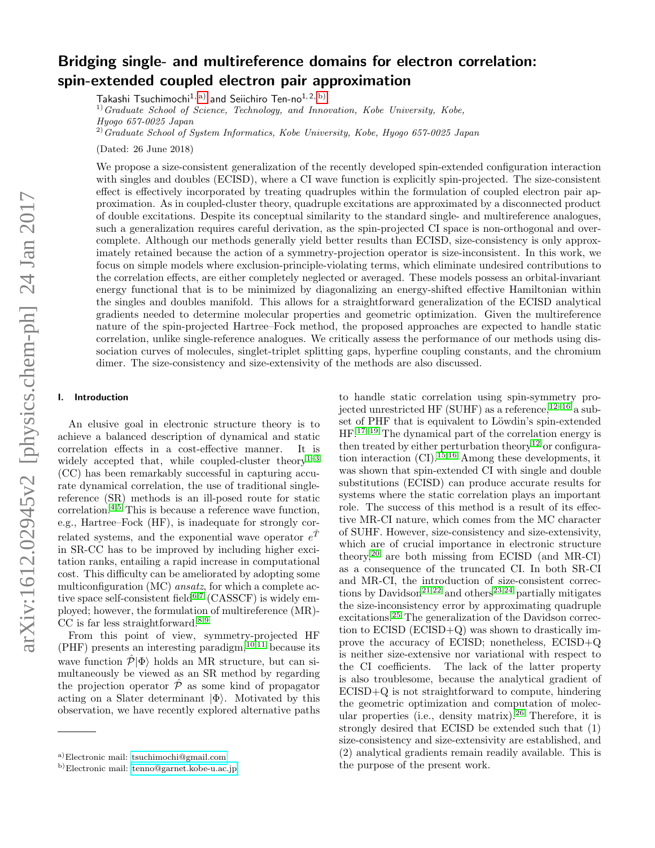# Bridging single- and multireference domains for electron correlation: spin-extended coupled electron pair approximation

Takashi Tsuchimochi<sup>1, [a\)](#page-0-0)</sup> and Seiichiro Ten-no<sup>1, 2, [b\)](#page-0-1)</sup>

 $1)$  Graduate School of Science, Technology, and Innovation, Kobe University, Kobe, Hyogo 657-0025 Japan

 $^{2)}$ Graduate School of System Informatics, Kobe University, Kobe, Hyogo 657-0025 Japan

(Dated: 26 June 2018)

We propose a size-consistent generalization of the recently developed spin-extended configuration interaction with singles and doubles (ECISD), where a CI wave function is explicitly spin-projected. The size-consistent effect is effectively incorporated by treating quadruples within the formulation of coupled electron pair approximation. As in coupled-cluster theory, quadruple excitations are approximated by a disconnected product of double excitations. Despite its conceptual similarity to the standard single- and multireference analogues, such a generalization requires careful derivation, as the spin-projected CI space is non-orthogonal and overcomplete. Although our methods generally yield better results than ECISD, size-consistency is only approximately retained because the action of a symmetry-projection operator is size-inconsistent. In this work, we focus on simple models where exclusion-principle-violating terms, which eliminate undesired contributions to the correlation effects, are either completely neglected or averaged. These models possess an orbital-invariant energy functional that is to be minimized by diagonalizing an energy-shifted effective Hamiltonian within the singles and doubles manifold. This allows for a straightforward generalization of the ECISD analytical gradients needed to determine molecular properties and geometric optimization. Given the multireference nature of the spin-projected Hartree–Fock method, the proposed approaches are expected to handle static correlation, unlike single-reference analogues. We critically assess the performance of our methods using dissociation curves of molecules, singlet-triplet splitting gaps, hyperfine coupling constants, and the chromium dimer. The size-consistency and size-extensivity of the methods are also discussed.

## I. Introduction

An elusive goal in electronic structure theory is to achieve a balanced description of dynamical and static correlation effects in a cost-effective manner. It is widely accepted that, while coupled-cluster theory<sup>[1–](#page-12-0)[3](#page-12-1)</sup> (CC) has been remarkably successful in capturing accurate dynamical correlation, the use of traditional singlereference (SR) methods is an ill-posed route for static correlation.<sup>[4,](#page-12-2)[5](#page-12-3)</sup> This is because a reference wave function, e.g., Hartree–Fock (HF), is inadequate for strongly correlated systems, and the exponential wave operator  $e^{\hat{T}}$ in SR-CC has to be improved by including higher excitation ranks, entailing a rapid increase in computational cost. This difficulty can be ameliorated by adopting some multiconfiguration (MC) ansatz, for which a complete ac-tive space self-consistent field<sup>[6](#page-12-4)[,7](#page-12-5)</sup> (CASSCF) is widely employed; however, the formulation of multireference (MR)-  $CC$  is far less straightforward.<sup>[8](#page-12-6)[,9](#page-12-7)</sup>

From this point of view, symmetry-projected HF  $(PHF)$  presents an interesting paradigm,  $10,11$  $10,11$  because its wave function  $\hat{\mathcal{P}}|\Phi\rangle$  holds an MR structure, but can simultaneously be viewed as an SR method by regarding the projection operator  $\hat{\mathcal{P}}$  as some kind of propagator acting on a Slater determinant  $|\Phi\rangle$ . Motivated by this observation, we have recently explored alternative paths

to handle static correlation using spin-symmetry projected unrestricted HF (SUHF) as a reference,  $12-16$  $12-16$  a subset of PHF that is equivalent to Löwdin's spin-extended  $HF.<sup>17–19</sup>$  $HF.<sup>17–19</sup>$  $HF.<sup>17–19</sup>$  $HF.<sup>17–19</sup>$  The dynamical part of the correlation energy is then treated by either perturbation theory<sup>[12](#page-12-10)</sup> or configura-tion interaction (CI).<sup>[15,](#page-12-14)[16](#page-12-11)</sup> Among these developments, it was shown that spin-extended CI with single and double substitutions (ECISD) can produce accurate results for systems where the static correlation plays an important role. The success of this method is a result of its effective MR-CI nature, which comes from the MC character of SUHF. However, size-consistency and size-extensivity, which are of crucial importance in electronic structure theory,<sup>[20](#page-12-15)</sup> are both missing from ECISD (and MR-CI) as a consequence of the truncated CI. In both SR-CI and MR-CI, the introduction of size-consistent correc-tions by Davidson<sup>[21,](#page-12-16)[22](#page-12-17)</sup> and others<sup>[23](#page-12-18)[,24](#page-12-19)</sup> partially mitigates the size-inconsistency error by approximating quadruple excitations.[25](#page-12-20) The generalization of the Davidson correction to ECISD (ECISD+Q) was shown to drastically improve the accuracy of ECISD; nonetheless, ECISD+Q is neither size-extensive nor variational with respect to the CI coefficients. The lack of the latter property is also troublesome, because the analytical gradient of ECISD+Q is not straightforward to compute, hindering the geometric optimization and computation of molec-ular properties (i.e., density matrix).<sup>[26](#page-12-21)</sup> Therefore, it is strongly desired that ECISD be extended such that (1) size-consistency and size-extensivity are established, and (2) analytical gradients remain readily available. This is the purpose of the present work.

<span id="page-0-0"></span>a)Electronic mail: [tsuchimochi@gmail.com](mailto:tsuchimochi@gmail.com)

<span id="page-0-1"></span>b)Electronic mail: [tenno@garnet.kobe-u.ac.jp](mailto:tenno@garnet.kobe-u.ac.jp)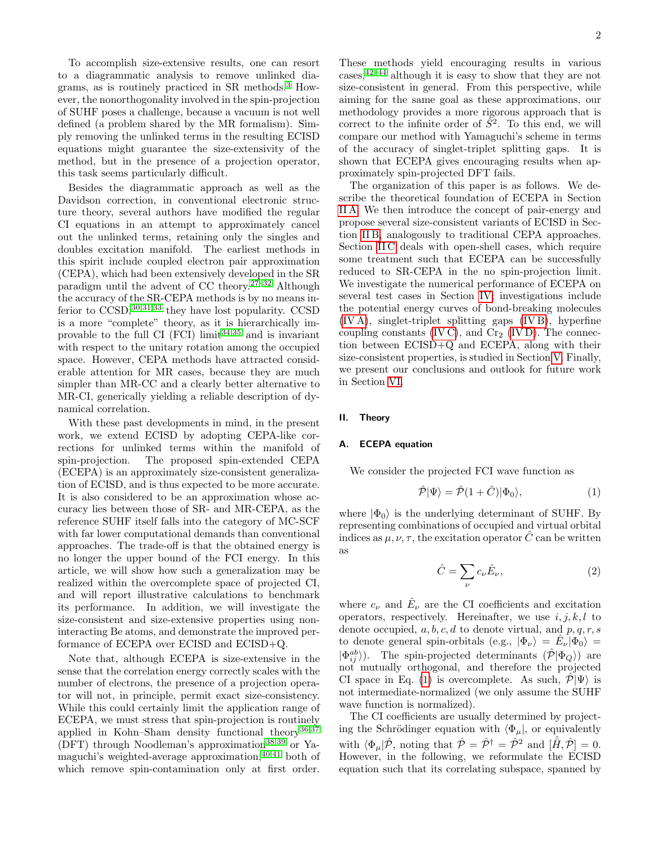2

To accomplish size-extensive results, one can resort to a diagrammatic analysis to remove unlinked diagrams, as is routinely practiced in SR methods.[3](#page-12-1) However, the nonorthogonality involved in the spin-projection of SUHF poses a challenge, because a vacuum is not well defined (a problem shared by the MR formalism). Simply removing the unlinked terms in the resulting ECISD equations might guarantee the size-extensivity of the method, but in the presence of a projection operator, this task seems particularly difficult.

Besides the diagrammatic approach as well as the Davidson correction, in conventional electronic structure theory, several authors have modified the regular CI equations in an attempt to approximately cancel out the unlinked terms, retaining only the singles and doubles excitation manifold. The earliest methods in this spirit include coupled electron pair approximation (CEPA), which had been extensively developed in the SR paradigm until the advent of CC theory. $27-32$  $27-32$  Although the accuracy of the SR-CEPA methods is by no means inferior to  $\text{CCSD}$ , [30](#page-12-24), 31, 33 they have lost popularity. CCSD is a more "complete" theory, as it is hierarchically improvable to the full CI (FCI) limit $34,35$  $34,35$  and is invariant with respect to the unitary rotation among the occupied space. However, CEPA methods have attracted considerable attention for MR cases, because they are much simpler than MR-CC and a clearly better alternative to MR-CI, generically yielding a reliable description of dynamical correlation.

With these past developments in mind, in the present work, we extend ECISD by adopting CEPA-like corrections for unlinked terms within the manifold of spin-projection. The proposed spin-extended CEPA (ECEPA) is an approximately size-consistent generalization of ECISD, and is thus expected to be more accurate. It is also considered to be an approximation whose accuracy lies between those of SR- and MR-CEPA, as the reference SUHF itself falls into the category of MC-SCF with far lower computational demands than conventional approaches. The trade-off is that the obtained energy is no longer the upper bound of the FCI energy. In this article, we will show how such a generalization may be realized within the overcomplete space of projected CI, and will report illustrative calculations to benchmark its performance. In addition, we will investigate the size-consistent and size-extensive properties using noninteracting Be atoms, and demonstrate the improved performance of ECEPA over ECISD and ECISD+Q.

Note that, although ECEPA is size-extensive in the sense that the correlation energy correctly scales with the number of electrons, the presence of a projection operator will not, in principle, permit exact size-consistency. While this could certainly limit the application range of ECEPA, we must stress that spin-projection is routinely applied in Kohn–Sham density functional theory<sup>[36](#page-12-29)[,37](#page-12-30)</sup>  $(DFT)$  through Noodleman's approximation<sup>[38,](#page-12-31)[39](#page-12-32)</sup> or Yamaguchi's weighted-average approximation, $40,41$  $40,41$  both of which remove spin-contamination only at first order.

These methods yield encouraging results in various cases,[42](#page-12-35)[–44](#page-12-36) although it is easy to show that they are not size-consistent in general. From this perspective, while aiming for the same goal as these approximations, our methodology provides a more rigorous approach that is correct to the infinite order of  $\tilde{S}^2$ . To this end, we will compare our method with Yamaguchi's scheme in terms of the accuracy of singlet-triplet splitting gaps. It is shown that ECEPA gives encouraging results when approximately spin-projected DFT fails.

The organization of this paper is as follows. We describe the theoretical foundation of ECEPA in Section [II A.](#page-1-0) We then introduce the concept of pair-energy and propose several size-consistent variants of ECISD in Section [II B,](#page-3-0) analogously to traditional CEPA approaches. Section IIC deals with open-shell cases, which require some treatment such that ECEPA can be successfully reduced to SR-CEPA in the no spin-projection limit. We investigate the numerical performance of ECEPA on several test cases in Section [IV;](#page-5-0) investigations include the potential energy curves of bond-breaking molecules [\(IV A\)](#page-5-1), singlet-triplet splitting gaps [\(IV B\)](#page-6-0), hyperfine coupling constants [\(IV C\)](#page-8-0), and  $Cr_2$  [\(IV D\)](#page-9-0). The connection between ECISD+Q and ECEPA, along with their size-consistent properties, is studied in Section [V.](#page-10-0) Finally, we present our conclusions and outlook for future work in Section [VI.](#page-11-0)

# II. Theory

#### <span id="page-1-0"></span>A. ECEPA equation

We consider the projected FCI wave function as

<span id="page-1-1"></span>
$$
\hat{\mathcal{P}}|\Psi\rangle = \hat{\mathcal{P}}(1+\hat{C})|\Phi_0\rangle,\tag{1}
$$

where  $|\Phi_0\rangle$  is the underlying determinant of SUHF. By representing combinations of occupied and virtual orbital indices as  $\mu$ ,  $\nu$ ,  $\tau$ , the excitation operator  $\hat{C}$  can be written as

$$
\hat{C} = \sum_{\nu} c_{\nu} \hat{E}_{\nu},\tag{2}
$$

where  $c_{\nu}$  and  $\hat{E}_{\nu}$  are the CI coefficients and excitation operators, respectively. Hereinafter, we use  $i, j, k, l$  to denote occupied,  $a, b, c, d$  to denote virtual, and  $p, q, r, s$ to denote general spin-orbitals (e.g.,  $|\Phi_{\nu}\rangle = \hat{E}_{\nu}|\Phi_{0}\rangle =$  $|\Phi_{ij}^{ab}\rangle$ ). The spin-projected determinants  $(\hat{\mathcal{P}}|\Phi_Q\rangle)$  are not mutually orthogonal, and therefore the projected CI space in Eq. [\(1\)](#page-1-1) is overcomplete. As such,  $\mathcal{P}|\Psi\rangle$  is not intermediate-normalized (we only assume the SUHF wave function is normalized).

The CI coefficients are usually determined by projecting the Schrödinger equation with  $\langle \Phi_{\mu} |$ , or equivalently with  $\langle \Phi_\mu | \hat{\mathcal{P}} \rangle$ , noting that  $\hat{\mathcal{P}} = \hat{\mathcal{P}}^{\dagger} = \hat{\mathcal{P}}^2$  and  $[\hat{H}, \hat{\mathcal{P}}] = 0$ . However, in the following, we reformulate the ECISD equation such that its correlating subspace, spanned by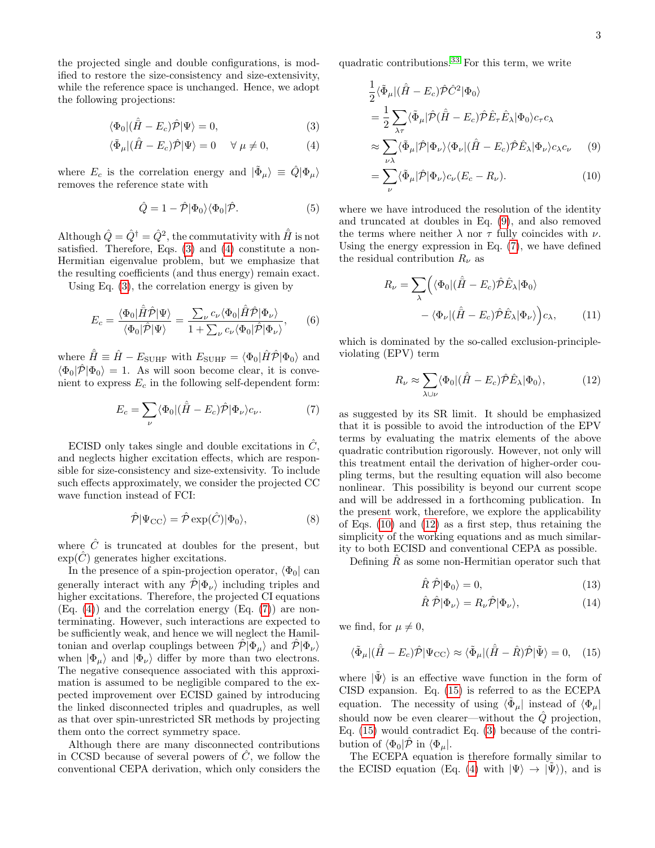the projected single and double configurations, is modified to restore the size-consistency and size-extensivity, while the reference space is unchanged. Hence, we adopt the following projections:

$$
\langle \Phi_0 | (\hat{H} - E_c) \hat{\mathcal{P}} | \Psi \rangle = 0, \tag{3}
$$

$$
\langle \tilde{\Phi}_{\mu} | (\hat{H} - E_c) \hat{\mathcal{P}} | \Psi \rangle = 0 \quad \forall \mu \neq 0,
$$
 (4)

where  $E_c$  is the correlation energy and  $|\tilde{\Phi}_{\mu}\rangle \equiv \hat{Q}|\Phi_{\mu}\rangle$ removes the reference state with

$$
\hat{Q} = 1 - \hat{\mathcal{P}} |\Phi_0\rangle\langle\Phi_0|\hat{\mathcal{P}}.\tag{5}
$$

Although  $\hat{Q} = \hat{Q}^{\dagger} = \hat{Q}^2$ , the commutativity with  $\hat{\bar{H}}$  is not satisfied. Therefore, Eqs. [\(3\)](#page-2-0) and [\(4\)](#page-2-1) constitute a non-Hermitian eigenvalue problem, but we emphasize that the resulting coefficients (and thus energy) remain exact.

Using Eq. [\(3\)](#page-2-0), the correlation energy is given by

$$
E_c = \frac{\langle \Phi_0 | \hat{H} \hat{\mathcal{P}} | \Psi \rangle}{\langle \Phi_0 | \hat{\mathcal{P}} | \Psi \rangle} = \frac{\sum_{\nu} c_{\nu} \langle \Phi_0 | \hat{H} \hat{\mathcal{P}} | \Phi_{\nu} \rangle}{1 + \sum_{\nu} c_{\nu} \langle \Phi_0 | \hat{\mathcal{P}} | \Phi_{\nu} \rangle}, \qquad (6)
$$

where  $\hat{H} \equiv \hat{H} - E_{\text{SUHF}}$  with  $E_{\text{SUHF}} = \langle \Phi_0 | \hat{H} \hat{\mathcal{P}} | \Phi_0 \rangle$  and  $\langle \Phi_0 | \hat{\mathcal{P}} | \Phi_0 \rangle = 1$ . As will soon become clear, it is convenient to express  $E_c$  in the following self-dependent form:

$$
E_c = \sum_{\nu} \langle \Phi_0 | (\hat{H} - E_c) \hat{\mathcal{P}} | \Phi_{\nu} \rangle c_{\nu}.
$$
 (7)

ECISD only takes single and double excitations in  $\ddot{C}$ . and neglects higher excitation effects, which are responsible for size-consistency and size-extensivity. To include such effects approximately, we consider the projected CC wave function instead of FCI:

$$
\hat{\mathcal{P}}|\Psi_{\rm CC}\rangle = \hat{\mathcal{P}}\exp(\hat{C})|\Phi_0\rangle,\tag{8}
$$

where  $\hat{C}$  is truncated at doubles for the present, but  $\exp(\hat{C})$  generates higher excitations.

In the presence of a spin-projection operator,  $\langle \Phi_0 |$  can generally interact with any  $\hat{\mathcal{P}} | \Phi_{\nu} \rangle$  including triples and higher excitations. Therefore, the projected CI equations  $(Eq. (4))$  $(Eq. (4))$  $(Eq. (4))$  and the correlation energy  $(Eq. (7))$  $(Eq. (7))$  $(Eq. (7))$  are nonterminating. However, such interactions are expected to be sufficiently weak, and hence we will neglect the Hamiltonian and overlap couplings between  $\mathcal{P}|\Phi_\mu\rangle$  and  $\mathcal{P}|\Phi_\nu\rangle$ when  $|\Phi_{\mu}\rangle$  and  $|\Phi_{\nu}\rangle$  differ by more than two electrons. The negative consequence associated with this approximation is assumed to be negligible compared to the expected improvement over ECISD gained by introducing the linked disconnected triples and quadruples, as well as that over spin-unrestricted SR methods by projecting them onto the correct symmetry space.

Although there are many disconnected contributions in CCSD because of several powers of  $C$ , we follow the conventional CEPA derivation, which only considers the

<span id="page-2-0"></span>quadratic contributions.[33](#page-12-26) For this term, we write

$$
\frac{1}{2}\langle \tilde{\Phi}_{\mu} | (\hat{H} - E_{c}) \hat{\mathcal{P}} \hat{C}^{2} | \Phi_{0} \rangle \n= \frac{1}{2} \sum_{\lambda \tau} \langle \tilde{\Phi}_{\mu} | \hat{\mathcal{P}} (\hat{H} - E_{c}) \hat{\mathcal{P}} \hat{E}_{\tau} \hat{E}_{\lambda} | \Phi_{0} \rangle c_{\tau} c_{\lambda} \n\approx \sum_{\nu \lambda} \langle \tilde{\Phi}_{\mu} | \hat{\mathcal{P}} | \Phi_{\nu} \rangle \langle \Phi_{\nu} | (\hat{H} - E_{c}) \hat{\mathcal{P}} \hat{E}_{\lambda} | \Phi_{\nu} \rangle c_{\lambda} c_{\nu} \qquad (9)
$$

<span id="page-2-4"></span><span id="page-2-3"></span><span id="page-2-1"></span>
$$
= \sum_{\nu} \langle \tilde{\Phi}_{\mu} | \hat{\mathcal{P}} | \Phi_{\nu} \rangle c_{\nu} (E_c - R_{\nu}). \tag{10}
$$

<span id="page-2-7"></span>where we have introduced the resolution of the identity and truncated at doubles in Eq. [\(9\)](#page-2-3), and also removed the terms where neither  $\lambda$  nor  $\tau$  fully coincides with  $\nu$ . Using the energy expression in Eq. [\(7\)](#page-2-2), we have defined the residual contribution  $R_{\nu}$  as

$$
R_{\nu} = \sum_{\lambda} \left( \langle \Phi_0 | (\hat{H} - E_c) \hat{\mathcal{P}} \hat{E}_{\lambda} | \Phi_0 \rangle \right. \\ \left. - \langle \Phi_{\nu} | (\hat{H} - E_c) \hat{\mathcal{P}} \hat{E}_{\lambda} | \Phi_{\nu} \rangle \right) c_{\lambda}, \qquad (11)
$$

<span id="page-2-8"></span>which is dominated by the so-called exclusion-principleviolating (EPV) term

<span id="page-2-5"></span>
$$
R_{\nu} \approx \sum_{\lambda \cup \nu} \langle \Phi_0 | (\hat{H} - E_c) \hat{\mathcal{P}} \hat{E}_{\lambda} | \Phi_0 \rangle, \tag{12}
$$

<span id="page-2-2"></span>as suggested by its SR limit. It should be emphasized that it is possible to avoid the introduction of the EPV terms by evaluating the matrix elements of the above quadratic contribution rigorously. However, not only will this treatment entail the derivation of higher-order coupling terms, but the resulting equation will also become nonlinear. This possibility is beyond our current scope and will be addressed in a forthcoming publication. In the present work, therefore, we explore the applicability of Eqs. [\(10\)](#page-2-4) and [\(12\)](#page-2-5) as a first step, thus retaining the simplicity of the working equations and as much similarity to both ECISD and conventional CEPA as possible.

Defining  $R$  as some non-Hermitian operator such that

$$
\hat{R}\hat{\mathcal{P}}|\Phi_0\rangle = 0,\t\t(13)
$$

<span id="page-2-6"></span>
$$
\hat{R}\hat{\mathcal{P}}|\Phi_{\nu}\rangle = R_{\nu}\hat{\mathcal{P}}|\Phi_{\nu}\rangle,\tag{14}
$$

we find, for  $\mu \neq 0$ ,

$$
\langle \tilde{\Phi}_{\mu} | (\hat{H} - E_c) \hat{\mathcal{P}} | \Psi_{\text{CC}} \rangle \approx \langle \tilde{\Phi}_{\mu} | (\hat{H} - \hat{R}) \hat{\mathcal{P}} | \tilde{\Psi} \rangle = 0, \quad (15)
$$

where  $|\tilde{\Psi}\rangle$  is an effective wave function in the form of CISD expansion. Eq. [\(15\)](#page-2-6) is referred to as the ECEPA equation. The necessity of using  $\langle \tilde{\Phi}_{\mu} |$  instead of  $\langle \Phi_{\mu} |$ should now be even clearer—without the  $\hat{Q}$  projection, Eq. [\(15\)](#page-2-6) would contradict Eq. [\(3\)](#page-2-0) because of the contribution of  $\langle \Phi_0 | \hat{\mathcal{P}}$  in  $\langle \Phi_\mu |$ .

The ECEPA equation is therefore formally similar to the ECISD equation (Eq. [\(4\)](#page-2-1) with  $|\Psi\rangle \rightarrow |\Psi\rangle$ ), and is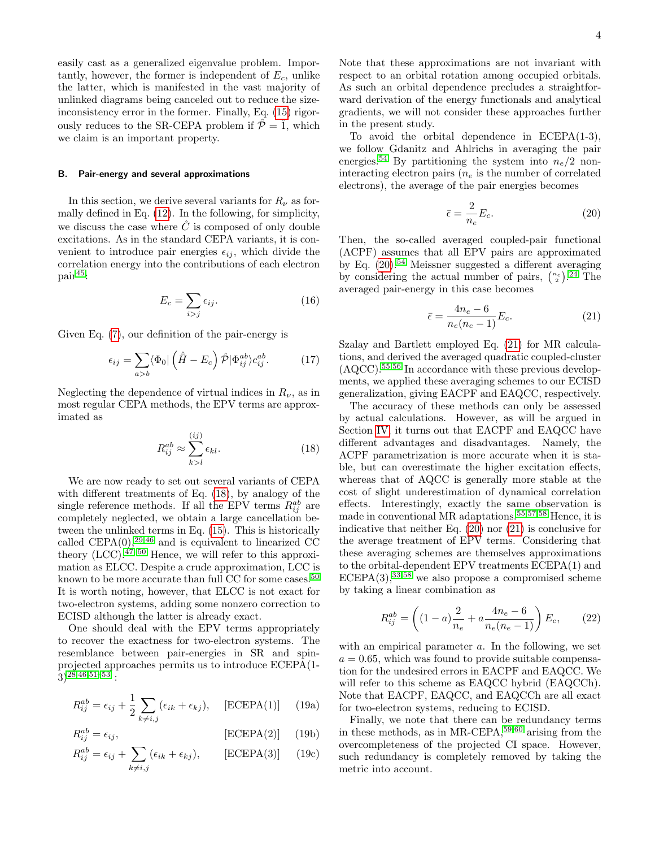easily cast as a generalized eigenvalue problem. Importantly, however, the former is independent of  $E_c$ , unlike the latter, which is manifested in the vast majority of unlinked diagrams being canceled out to reduce the sizeinconsistency error in the former. Finally, Eq. [\(15\)](#page-2-6) rigorously reduces to the SR-CEPA problem if  $\hat{\mathcal{P}} = \hat{1}$ , which we claim is an important property.

#### <span id="page-3-0"></span>B. Pair-energy and several approximations

In this section, we derive several variants for  $R_{\nu}$  as formally defined in Eq. [\(12\)](#page-2-5). In the following, for simplicity, we discuss the case where  $\hat{C}$  is composed of only double excitations. As in the standard CEPA variants, it is convenient to introduce pair energies  $\epsilon_{ij}$ , which divide the correlation energy into the contributions of each electron pair[45](#page-12-37):

$$
E_c = \sum_{i>j} \epsilon_{ij}.\tag{16}
$$

Given Eq. [\(7\)](#page-2-2), our definition of the pair-energy is

$$
\epsilon_{ij} = \sum_{a>b} \langle \Phi_0 | \left( \hat{H} - E_c \right) \hat{\mathcal{P}} | \Phi_{ij}^{ab} \rangle c_{ij}^{ab}.
$$
 (17)

Neglecting the dependence of virtual indices in  $R_{\nu}$ , as in most regular CEPA methods, the EPV terms are approximated as

$$
R_{ij}^{ab} \approx \sum_{k>l}^{(ij)} \epsilon_{kl}.
$$
 (18)

We are now ready to set out several variants of CEPA with different treatments of Eq. [\(18\)](#page-3-1), by analogy of the single reference methods. If all the EPV terms  $R_{ij}^{ab}$  are completely neglected, we obtain a large cancellation between the unlinked terms in Eq. [\(15\)](#page-2-6). This is historically called  $CEPA(0)$ ,<sup>[29,](#page-12-38)[46](#page-12-39)</sup> and is equivalent to linearized CC theory  $(LCC)$ .<sup>[47–](#page-12-40)[50](#page-12-41)</sup> Hence, we will refer to this approximation as ELCC. Despite a crude approximation, LCC is known to be more accurate than full CC for some cases.<sup>[50](#page-12-41)</sup> It is worth noting, however, that ELCC is not exact for two-electron systems, adding some nonzero correction to ECISD although the latter is already exact.

One should deal with the EPV terms appropriately to recover the exactness for two-electron systems. The resemblance between pair-energies in SR and spinprojected approaches permits us to introduce ECEPA(1-  $3)$ <sup>[28,](#page-12-42)[46](#page-12-39)[,51](#page-12-43)[–53](#page-13-0)</sup>:

$$
R_{ij}^{ab} = \epsilon_{ij} + \frac{1}{2} \sum_{k \neq i,j} (\epsilon_{ik} + \epsilon_{kj}), \quad \text{[ECEPA(1)]} \quad (19a)
$$

$$
R_{ij}^{ab} = \epsilon_{ij},
$$
 [ECEPA(2)] (19b)

$$
R_{ij}^{ab} = \epsilon_{ij} + \sum_{k \neq i,j} (\epsilon_{ik} + \epsilon_{kj}), \qquad \text{[ECEPA(3)]} \qquad (19c)
$$

Note that these approximations are not invariant with respect to an orbital rotation among occupied orbitals. As such an orbital dependence precludes a straightforward derivation of the energy functionals and analytical gradients, we will not consider these approaches further in the present study.

To avoid the orbital dependence in ECEPA(1-3), we follow Gdanitz and Ahlrichs in averaging the pair energies.<sup>[54](#page-13-1)</sup> By partitioning the system into  $n_e/2$  noninteracting electron pairs  $(n_e)$  is the number of correlated electrons), the average of the pair energies becomes

<span id="page-3-2"></span>
$$
\bar{\epsilon} = \frac{2}{n_e} E_c.
$$
 (20)

Then, the so-called averaged coupled-pair functional (ACPF) assumes that all EPV pairs are approximated by Eq.  $(20)$ <sup>[54](#page-13-1)</sup> Meissner suggested a different averaging by considering the actual number of pairs,  $\binom{n_e}{2}$ .<sup>[24](#page-12-19)</sup> The averaged pair-energy in this case becomes

<span id="page-3-3"></span>
$$
\bar{\epsilon} = \frac{4n_e - 6}{n_e(n_e - 1)}E_c.
$$
\n(21)

Szalay and Bartlett employed Eq. [\(21\)](#page-3-3) for MR calculations, and derived the averaged quadratic coupled-cluster  $(AQCC)$ <sup>[55,](#page-13-2)[56](#page-13-3)</sup> In accordance with these previous developments, we applied these averaging schemes to our ECISD generalization, giving EACPF and EAQCC, respectively.

<span id="page-3-1"></span>The accuracy of these methods can only be assessed by actual calculations. However, as will be argued in Section [IV,](#page-5-0) it turns out that EACPF and EAQCC have different advantages and disadvantages. Namely, the ACPF parametrization is more accurate when it is stable, but can overestimate the higher excitation effects, whereas that of AQCC is generally more stable at the cost of slight underestimation of dynamical correlation effects. Interestingly, exactly the same observation is made in conventional MR adaptations.[55](#page-13-2)[,57,](#page-13-4)[58](#page-13-5) Hence, it is indicative that neither Eq. [\(20\)](#page-3-2) nor [\(21\)](#page-3-3) is conclusive for the average treatment of EPV terms. Considering that these averaging schemes are themselves approximations to the orbital-dependent EPV treatments ECEPA(1) and  $ECEPA(3),$ <sup>[33,](#page-12-26)[58](#page-13-5)</sup> we also propose a compromised scheme by taking a linear combination as

<span id="page-3-4"></span>
$$
R_{ij}^{ab} = \left( (1-a)\frac{2}{n_e} + a\frac{4n_e - 6}{n_e(n_e - 1)} \right) E_c, \qquad (22)
$$

with an empirical parameter  $a$ . In the following, we set  $a = 0.65$ , which was found to provide suitable compensation for the undesired errors in EACPF and EAQCC. We will refer to this scheme as EAQCC hybrid (EAQCCh). Note that EACPF, EAQCC, and EAQCCh are all exact for two-electron systems, reducing to ECISD.

Finally, we note that there can be redundancy terms in these methods, as in MR-CEPA,  $59,60$  $59,60$  arising from the overcompleteness of the projected CI space. However, such redundancy is completely removed by taking the metric into account.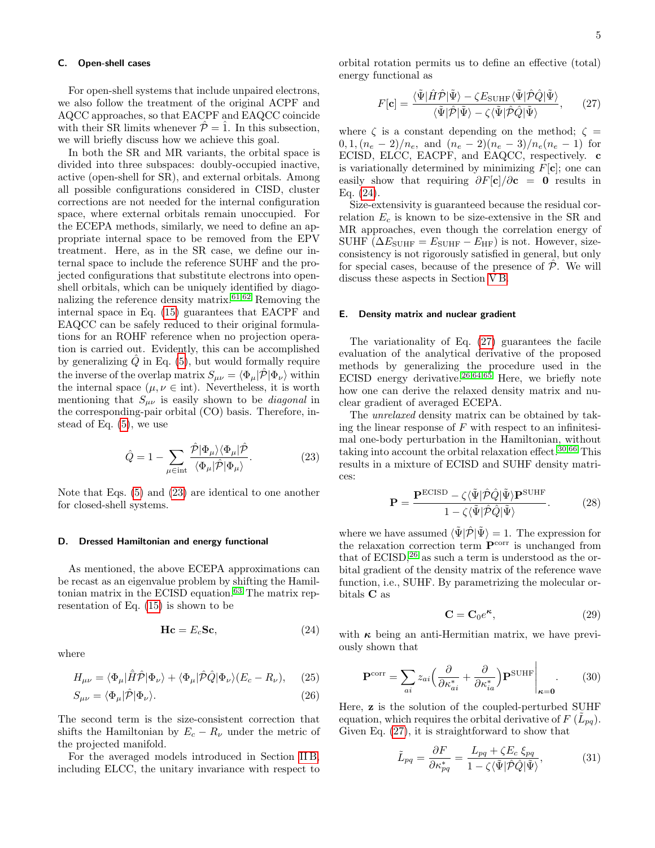# <span id="page-4-0"></span>C. Open-shell cases

For open-shell systems that include unpaired electrons, we also follow the treatment of the original ACPF and AQCC approaches, so that EACPF and EAQCC coincide with their SR limits whenever  $\hat{\mathcal{P}} = \hat{1}$ . In this subsection, we will briefly discuss how we achieve this goal.

In both the SR and MR variants, the orbital space is divided into three subspaces: doubly-occupied inactive, active (open-shell for SR), and external orbitals. Among all possible configurations considered in CISD, cluster corrections are not needed for the internal configuration space, where external orbitals remain unoccupied. For the ECEPA methods, similarly, we need to define an appropriate internal space to be removed from the EPV treatment. Here, as in the SR case, we define our internal space to include the reference SUHF and the projected configurations that substitute electrons into openshell orbitals, which can be uniquely identified by diago-nalizing the reference density matrix.<sup>[61](#page-13-8)[,62](#page-13-9)</sup> Removing the internal space in Eq. [\(15\)](#page-2-6) guarantees that EACPF and EAQCC can be safely reduced to their original formulations for an ROHF reference when no projection operation is carried out. Evidently, this can be accomplished by generalizing  $Q$  in Eq. [\(5\)](#page-2-7), but would formally require the inverse of the overlap matrix  $S_{\mu\nu} = \langle \Phi_{\mu} | \hat{\mathcal{P}} | \Phi_{\nu} \rangle$  within the internal space  $(\mu, \nu \in \text{int})$ . Nevertheless, it is worth mentioning that  $S_{\mu\nu}$  is easily shown to be *diagonal* in the corresponding-pair orbital (CO) basis. Therefore, instead of Eq. [\(5\)](#page-2-7), we use

$$
\hat{Q} = 1 - \sum_{\mu \in \text{int}} \frac{\hat{\mathcal{P}} | \Phi_{\mu} \rangle \langle \Phi_{\mu} | \hat{\mathcal{P}}}{\langle \Phi_{\mu} | \hat{\mathcal{P}} | \Phi_{\mu} \rangle}.
$$
(23)

Note that Eqs. [\(5\)](#page-2-7) and [\(23\)](#page-4-1) are identical to one another for closed-shell systems.

## D. Dressed Hamiltonian and energy functional

As mentioned, the above ECEPA approximations can be recast as an eigenvalue problem by shifting the Hamil-tonian matrix in the ECISD equation.<sup>[63](#page-13-10)</sup> The matrix representation of Eq. [\(15\)](#page-2-6) is shown to be

$$
\mathbf{Hc} = E_c \mathbf{Sc},\tag{24}
$$

where

$$
H_{\mu\nu} = \langle \Phi_{\mu} | \hat{H} \hat{\mathcal{P}} | \Phi_{\nu} \rangle + \langle \Phi_{\mu} | \hat{\mathcal{P}} \hat{Q} | \Phi_{\nu} \rangle (E_c - R_{\nu}), \quad (25)
$$

$$
S_{\mu\nu} = \langle \Phi_{\mu} | \hat{\mathcal{P}} | \Phi_{\nu} \rangle. \tag{26}
$$

The second term is the size-consistent correction that shifts the Hamiltonian by  $E_c - R_{\nu}$  under the metric of the projected manifold.

For the averaged models introduced in Section [II B,](#page-3-0) including ELCC, the unitary invariance with respect to orbital rotation permits us to define an effective (total) energy functional as

<span id="page-4-3"></span>
$$
F[\mathbf{c}] = \frac{\langle \tilde{\Psi} | \hat{H}\hat{\mathcal{P}} | \tilde{\Psi} \rangle - \zeta E_{\text{SUHF}} \langle \tilde{\Psi} | \hat{\mathcal{P}} \hat{Q} | \tilde{\Psi} \rangle}{\langle \tilde{\Psi} | \hat{\mathcal{P}} | \tilde{\Psi} \rangle - \zeta \langle \tilde{\Psi} | \hat{\mathcal{P}} \hat{Q} | \tilde{\Psi} \rangle}, \qquad (27)
$$

where  $\zeta$  is a constant depending on the method;  $\zeta =$  $0, 1, (n_e - 2)/n_e$ , and  $(n_e - 2)(n_e - 3)/n_e(n_e - 1)$  for ECISD, ELCC, EACPF, and EAQCC, respectively. c is variationally determined by minimizing  $F[c]$ ; one can easily show that requiring  $\partial F[\mathbf{c}]/\partial \mathbf{c} = \mathbf{0}$  results in Eq. [\(24\)](#page-4-2).

Size-extensivity is guaranteed because the residual correlation  $E_c$  is known to be size-extensive in the SR and MR approaches, even though the correlation energy of SUHF ( $\Delta E_{\text{SUHF}} = E_{\text{SUHF}} - E_{\text{HF}}$ ) is not. However, sizeconsistency is not rigorously satisfied in general, but only for special cases, because of the presence of  $\overline{P}$ . We will discuss these aspects in Section [V B.](#page-10-1)

#### E. Density matrix and nuclear gradient

The variationality of Eq. [\(27\)](#page-4-3) guarantees the facile evaluation of the analytical derivative of the proposed methods by generalizing the procedure used in the ECISD energy derivative.<sup>[26,](#page-12-21)[64,](#page-13-11)[65](#page-13-12)</sup> Here, we briefly note how one can derive the relaxed density matrix and nuclear gradient of averaged ECEPA.

<span id="page-4-1"></span>The unrelaxed density matrix can be obtained by taking the linear response of  $F$  with respect to an infinitesimal one-body perturbation in the Hamiltonian, without taking into account the orbital relaxation effect.[30](#page-12-24)[,66](#page-13-13) This results in a mixture of ECISD and SUHF density matrices:

$$
\mathbf{P} = \frac{\mathbf{P}^{\text{ECISD}} - \zeta \langle \tilde{\Psi} | \hat{\mathcal{P}} \hat{Q} | \tilde{\Psi} \rangle \mathbf{P}^{\text{SUHF}}}{1 - \zeta \langle \tilde{\Psi} | \hat{\mathcal{P}} \hat{Q} | \tilde{\Psi} \rangle}.
$$
 (28)

where we have assumed  $\langle \tilde{\Psi} | \hat{\mathcal{P}} | \tilde{\Psi} \rangle = 1$ . The expression for the relaxation correction term  $\mathbf{P}^{\text{corr}}$  is unchanged from that of  $ECISD<sub>1</sub><sup>26</sup>$  $ECISD<sub>1</sub><sup>26</sup>$  $ECISD<sub>1</sub><sup>26</sup>$  as such a term is understood as the orbital gradient of the density matrix of the reference wave function, i.e., SUHF. By parametrizing the molecular orbitals C as

$$
\mathbf{C} = \mathbf{C}_0 e^{\kappa},\tag{29}
$$

<span id="page-4-4"></span> $\mathbf{I}$ 

<span id="page-4-2"></span>with  $\kappa$  being an anti-Hermitian matrix, we have previously shown that

$$
\mathbf{P}^{\text{corr}} = \sum_{ai} z_{ai} \left( \frac{\partial}{\partial \kappa_{ai}^*} + \frac{\partial}{\partial \kappa_{ia}^*} \right) \mathbf{P}^{\text{SUHF}} \Big|_{\kappa=0}.
$$
 (30)

Here, z is the solution of the coupled-perturbed SUHF equation, which requires the orbital derivative of  $F(\tilde{L}_{pq})$ . Given Eq. [\(27\)](#page-4-3), it is straightforward to show that

$$
\tilde{L}_{pq} = \frac{\partial F}{\partial \kappa_{pq}^*} = \frac{L_{pq} + \zeta E_c \, \xi_{pq}}{1 - \zeta \langle \tilde{\Psi} | \hat{\mathcal{P}} \hat{Q} | \tilde{\Psi} \rangle},\tag{31}
$$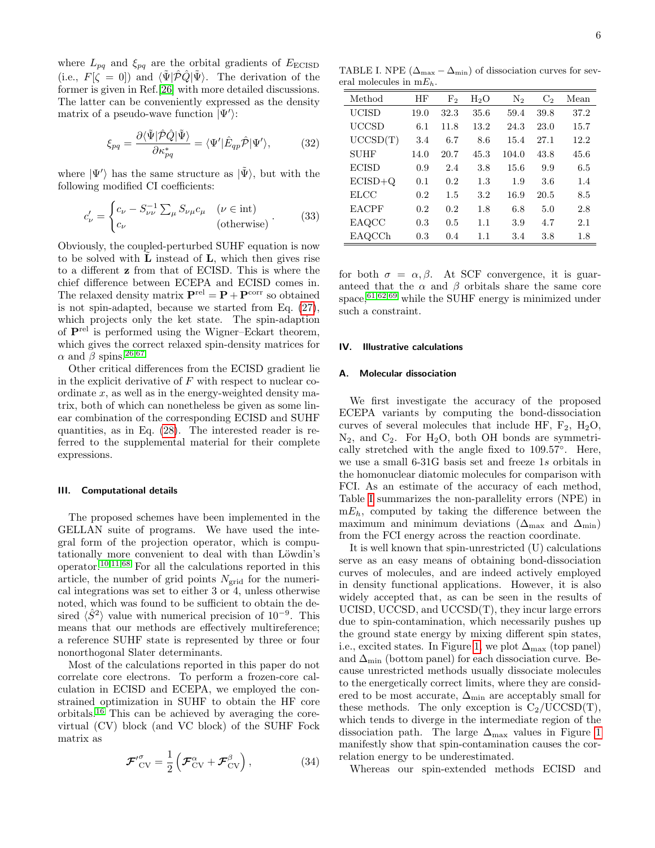6

where  $L_{pq}$  and  $\xi_{pq}$  are the orbital gradients of  $E_{\text{ECISD}}$ (i.e.,  $F[\zeta = 0]$ ) and  $\langle \tilde{\Psi} | \hat{\mathcal{P}} \hat{Q} | \tilde{\Psi} \rangle$ . The derivation of the former is given in Ref.[\[26\]](#page-12-21) with more detailed discussions. The latter can be conveniently expressed as the density matrix of a pseudo-wave function  $|\Psi'\rangle$ :

$$
\xi_{pq} = \frac{\partial \langle \tilde{\Psi} | \hat{\mathcal{P}} \hat{Q} | \tilde{\Psi} \rangle}{\partial \kappa_{pq}^*} = \langle \Psi' | \hat{E}_{qp} \hat{\mathcal{P}} | \Psi' \rangle, \tag{32}
$$

where  $|\Psi'\rangle$  has the same structure as  $|\tilde{\Psi}\rangle$ , but with the following modified CI coefficients:

$$
c'_{\nu} = \begin{cases} c_{\nu} - S_{\nu\nu}^{-1} \sum_{\mu} S_{\nu\mu} c_{\mu} & (\nu \in \text{int}) \\ c_{\nu} & (\text{otherwise}) \end{cases} . \tag{33}
$$

Obviously, the coupled-perturbed SUHF equation is now to be solved with  $L$  instead of  $L$ , which then gives rise to a different z from that of ECISD. This is where the chief difference between ECEPA and ECISD comes in. The relaxed density matrix  $\mathbf{P}^{\text{rel}} = \mathbf{P} + \mathbf{P}^{\text{corr}}$  so obtained is not spin-adapted, because we started from Eq. [\(27\)](#page-4-3), which projects only the ket state. The spin-adaption of Prel is performed using the Wigner–Eckart theorem, which gives the correct relaxed spin-density matrices for  $\alpha$  and  $\beta$  spins.<sup>[26](#page-12-21)[,67](#page-13-14)</sup>

Other critical differences from the ECISD gradient lie in the explicit derivative of  $F$  with respect to nuclear coordinate  $x$ , as well as in the energy-weighted density matrix, both of which can nonetheless be given as some linear combination of the corresponding ECISD and SUHF quantities, as in Eq. [\(28\)](#page-4-4). The interested reader is referred to the supplemental material for their complete expressions.

#### III. Computational details

The proposed schemes have been implemented in the GELLAN suite of programs. We have used the integral form of the projection operator, which is computationally more convenient to deal with than Löwdin's operator.[10,](#page-12-8)[11,](#page-12-9)[68](#page-13-15) For all the calculations reported in this article, the number of grid points  $N_{grid}$  for the numerical integrations was set to either 3 or 4, unless otherwise noted, which was found to be sufficient to obtain the desired  $\langle \hat{S}^2 \rangle$  value with numerical precision of 10<sup>-9</sup>. This means that our methods are effectively multireference; a reference SUHF state is represented by three or four nonorthogonal Slater determinants.

Most of the calculations reported in this paper do not correlate core electrons. To perform a frozen-core calculation in ECISD and ECEPA, we employed the constrained optimization in SUHF to obtain the HF core orbitals.[16](#page-12-11) This can be achieved by averaging the corevirtual (CV) block (and VC block) of the SUHF Fock matrix as

$$
\mathcal{F'}_{\text{CV}}^{\sigma} = \frac{1}{2} \left( \mathcal{F}_{\text{CV}}^{\alpha} + \mathcal{F}_{\text{CV}}^{\beta} \right), \tag{34}
$$

<span id="page-5-2"></span>TABLE I. NPE  $(\Delta_{\text{max}} - \Delta_{\text{min}})$  of dissociation curves for several molecules in  $mE_h$ .

| Method       | ΗF   | F <sub>2</sub> | $H_2O$ | $\mathrm{N}_2$ | C <sub>2</sub> | Mean |
|--------------|------|----------------|--------|----------------|----------------|------|
| <b>UCISD</b> | 19.0 | 32.3           | 35.6   | 59.4           | 39.8           | 37.2 |
| UCCSD        | 6.1  | 11.8           | 13.2   | 24.3           | 23.0           | 15.7 |
| UCCSD(T)     | 3.4  | 6.7            | 8.6    | 15.4           | 27.1           | 12.2 |
| <b>SUHF</b>  | 14.0 | 20.7           | 45.3   | 104.0          | 43.8           | 45.6 |
| <b>ECISD</b> | 0.9  | 2.4            | 3.8    | 15.6           | 9.9            | 6.5  |
| $ECISD+Q$    | 0.1  | 0.2            | 1.3    | 1.9            | 3.6            | 1.4  |
| <b>ELCC</b>  | 0.2  | 1.5            | 3.2    | 16.9           | 20.5           | 8.5  |
| <b>EACPF</b> | 0.2  | 0.2            | 1.8    | 6.8            | 5.0            | 2.8  |
| EAQCC        | 0.3  | 0.5            | 1.1    | 3.9            | 4.7            | 2.1  |
| EAQCCh       | 0.3  | 0.4            | 1.1    | 3.4            | 3.8            | 1.8  |

for both  $\sigma = \alpha, \beta$ . At SCF convergence, it is guaranteed that the  $\alpha$  and  $\beta$  orbitals share the same core space,  $61,62,69$  $61,62,69$  $61,62,69$  while the SUHF energy is minimized under such a constraint.

# <span id="page-5-0"></span>IV. Illustrative calculations

#### <span id="page-5-1"></span>A. Molecular dissociation

We first investigate the accuracy of the proposed ECEPA variants by computing the bond-dissociation curves of several molecules that include HF,  $F_2$ ,  $H_2O$ ,  $N_2$ , and  $C_2$ . For  $H_2O$ , both OH bonds are symmetrically stretched with the angle fixed to 109.57◦ . Here, we use a small 6-31G basis set and freeze 1s orbitals in the homonuclear diatomic molecules for comparison with FCI. As an estimate of the accuracy of each method, Table [I](#page-5-2) summarizes the non-parallelity errors (NPE) in  $mE_h$ , computed by taking the difference between the maximum and minimum deviations ( $\Delta_{\text{max}}$  and  $\Delta_{\text{min}}$ ) from the FCI energy across the reaction coordinate.

It is well known that spin-unrestricted (U) calculations serve as an easy means of obtaining bond-dissociation curves of molecules, and are indeed actively employed in density functional applications. However, it is also widely accepted that, as can be seen in the results of UCISD, UCCSD, and UCCSD(T), they incur large errors due to spin-contamination, which necessarily pushes up the ground state energy by mixing different spin states, i.e., excited states. In Figure [1,](#page-6-1) we plot  $\Delta_{\text{max}}$  (top panel) and  $\Delta_{\min}$  (bottom panel) for each dissociation curve. Because unrestricted methods usually dissociate molecules to the energetically correct limits, where they are considered to be most accurate,  $\Delta_{\min}$  are acceptably small for these methods. The only exception is  $C_2/UCCSD(T)$ , which tends to diverge in the intermediate region of the dissociation path. The large  $\Delta_{\text{max}}$  values in Figure [1](#page-6-1) manifestly show that spin-contamination causes the correlation energy to be underestimated.

Whereas our spin-extended methods ECISD and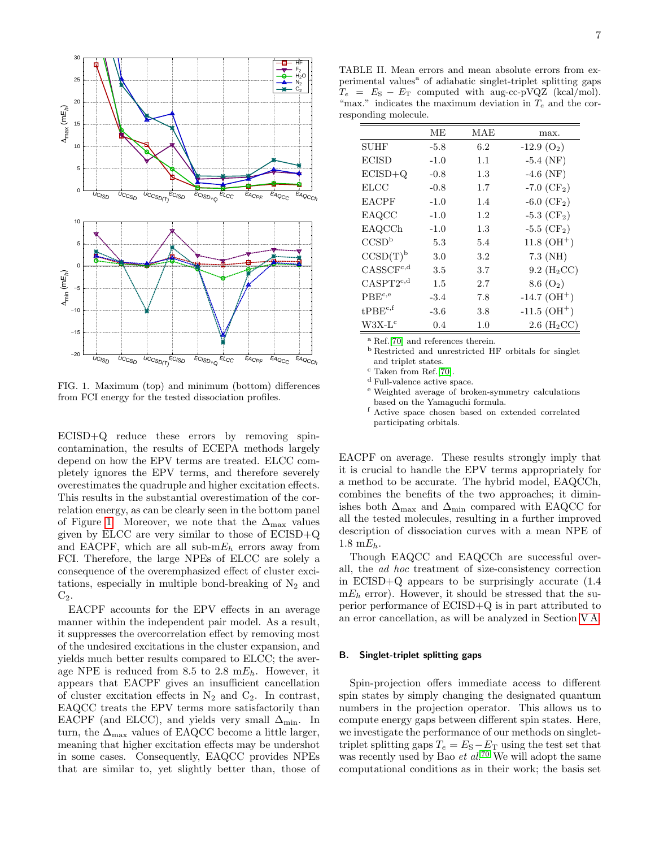

<span id="page-6-1"></span>FIG. 1. Maximum (top) and minimum (bottom) differences from FCI energy for the tested dissociation profiles.

ECISD+Q reduce these errors by removing spincontamination, the results of ECEPA methods largely depend on how the EPV terms are treated. ELCC completely ignores the EPV terms, and therefore severely overestimates the quadruple and higher excitation effects. This results in the substantial overestimation of the correlation energy, as can be clearly seen in the bottom panel of Figure [1.](#page-6-1) Moreover, we note that the  $\Delta_{\text{max}}$  values given by ELCC are very similar to those of ECISD+Q and EACPF, which are all sub- $mE_h$  errors away from FCI. Therefore, the large NPEs of ELCC are solely a consequence of the overemphasized effect of cluster excitations, especially in multiple bond-breaking of  $N_2$  and  $C_2$ .

EACPF accounts for the EPV effects in an average manner within the independent pair model. As a result, it suppresses the overcorrelation effect by removing most of the undesired excitations in the cluster expansion, and yields much better results compared to ELCC; the average NPE is reduced from 8.5 to 2.8  $mE_h$ . However, it appears that EACPF gives an insufficient cancellation of cluster excitation effects in  $N_2$  and  $C_2$ . In contrast, EAQCC treats the EPV terms more satisfactorily than EACPF (and ELCC), and yields very small  $\Delta_{\min}$ . In turn, the  $\Delta_{\text{max}}$  values of EAQCC become a little larger, meaning that higher excitation effects may be undershot in some cases. Consequently, EAQCC provides NPEs that are similar to, yet slightly better than, those of

<span id="page-6-2"></span>TABLE II. Mean errors and mean absolute errors from experimental values<sup>a</sup> of adiabatic singlet-triplet splitting gaps  $T_e = E_S - E_T$  computed with aug-cc-pVQZ (kcal/mol). "max." indicates the maximum deviation in  $T_e$  and the corresponding molecule.

|                      | MЕ     | MAE     | max.                       |
|----------------------|--------|---------|----------------------------|
| <b>SUHF</b>          | $-5.8$ | 6.2     | $-12.9(O2)$                |
| <b>ECISD</b>         | $-1.0$ | 1.1     | $-5.4$ (NF)                |
| $ECISD+Q$            | $-0.8$ | 1.3     | $-4.6$ (NF)                |
| <b>ELCC</b>          | $-0.8$ | 1.7     | -7.0 $(CF2)$               |
| <b>EACPF</b>         | $-1.0$ | 1.4     | $-6.0$ (CF <sub>2</sub> )  |
| EAQCC                | $-1.0$ | 1.2     | $-5.3$ (CF <sub>2</sub> )  |
| EAQCCh               | $-1.0$ | 1.3     | $-5.5$ (CF <sub>2</sub> )  |
| CCSD <sup>b</sup>    | 5.3    | 5.4     | $11.8~(OH^{+})$            |
| CCSD(T) <sup>b</sup> | 3.0    | $3.2\,$ | $7.3$ (NH)                 |
| $CASSCF^{c,d}$       | 3.5    | 3.7     | 9.2~(H <sub>2</sub> CC)    |
| $CASPT2^{c,d}$       | 1.5    | 2.7     | 8.6 $(O_2)$                |
| $PBE^{c,e}$          | $-3.4$ | 7.8     | $-14.7$ (OH <sup>+</sup> ) |
| $t$ PBE $^{c,f}$     | $-3.6$ | 3.8     | $-11.5$ (OH <sup>+</sup> ) |
| $W3X-Lc$             | 0.4    | 1.0     | $2.6$ (H <sub>2</sub> CC)  |

<sup>a</sup> Ref.[\[70\]](#page-13-17) and references therein.

<sup>b</sup> Restricted and unrestricted HF orbitals for singlet and triplet states.

<sup>c</sup> Taken from Ref.[\[70\]](#page-13-17).

<sup>d</sup> Full-valence active space.

<sup>e</sup> Weighted average of broken-symmetry calculations based on the Yamaguchi formula.

<sup>f</sup> Active space chosen based on extended correlated participating orbitals.

EACPF on average. These results strongly imply that it is crucial to handle the EPV terms appropriately for a method to be accurate. The hybrid model, EAQCCh, combines the benefits of the two approaches; it diminishes both  $\Delta_{\text{max}}$  and  $\Delta_{\text{min}}$  compared with EAQCC for all the tested molecules, resulting in a further improved description of dissociation curves with a mean NPE of 1.8 m $E_h$ .

Though EAQCC and EAQCCh are successful overall, the ad hoc treatment of size-consistency correction in ECISD+Q appears to be surprisingly accurate (1.4  $mE_h$  error). However, it should be stressed that the superior performance of ECISD+Q is in part attributed to an error cancellation, as will be analyzed in Section [V A.](#page-10-2)

# <span id="page-6-0"></span>B. Singlet-triplet splitting gaps

Spin-projection offers immediate access to different spin states by simply changing the designated quantum numbers in the projection operator. This allows us to compute energy gaps between different spin states. Here, we investigate the performance of our methods on singlettriplet splitting gaps  $T_e = E_S - E_T$  using the test set that was recently used by Bao  $et\ al.^{70}$  $et\ al.^{70}$  $et\ al.^{70}$  We will adopt the same computational conditions as in their work; the basis set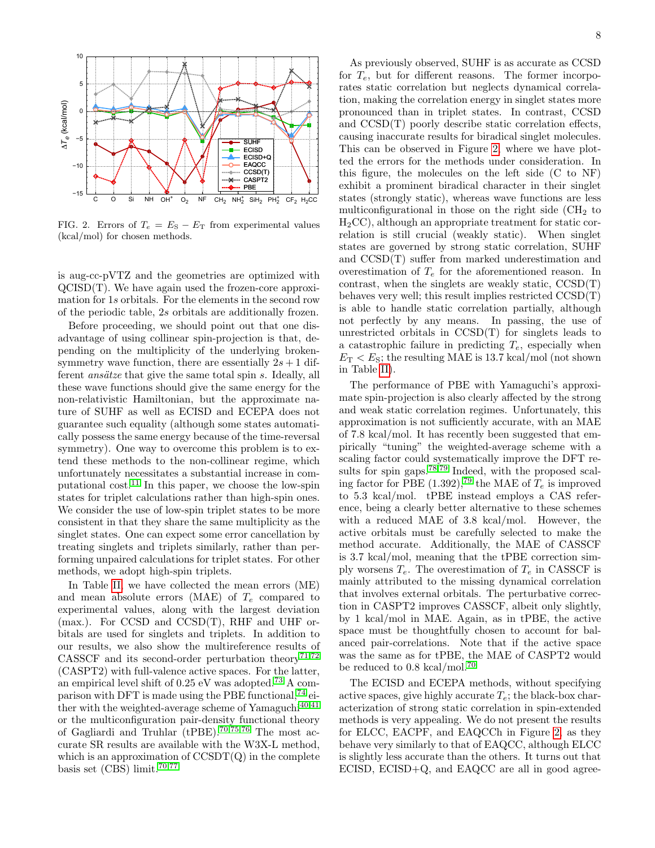

<span id="page-7-0"></span>FIG. 2. Errors of  $T_e = E_S - E_T$  from experimental values (kcal/mol) for chosen methods.

is aug-cc-pVTZ and the geometries are optimized with QCISD(T). We have again used the frozen-core approximation for 1s orbitals. For the elements in the second row of the periodic table, 2s orbitals are additionally frozen.

Before proceeding, we should point out that one disadvantage of using collinear spin-projection is that, depending on the multiplicity of the underlying brokensymmetry wave function, there are essentially  $2s + 1$  different *ansätze* that give the same total spin  $s$ . Ideally, all these wave functions should give the same energy for the non-relativistic Hamiltonian, but the approximate nature of SUHF as well as ECISD and ECEPA does not guarantee such equality (although some states automatically possess the same energy because of the time-reversal symmetry). One way to overcome this problem is to extend these methods to the non-collinear regime, which unfortunately necessitates a substantial increase in com-putational cost.<sup>[11](#page-12-9)</sup> In this paper, we choose the low-spin states for triplet calculations rather than high-spin ones. We consider the use of low-spin triplet states to be more consistent in that they share the same multiplicity as the singlet states. One can expect some error cancellation by treating singlets and triplets similarly, rather than performing unpaired calculations for triplet states. For other methods, we adopt high-spin triplets.

In Table [II,](#page-6-2) we have collected the mean errors (ME) and mean absolute errors (MAE) of  $T_e$  compared to experimental values, along with the largest deviation (max.). For CCSD and CCSD(T), RHF and UHF orbitals are used for singlets and triplets. In addition to our results, we also show the multireference results of CASSCF and its second-order perturbation theory<sup>[71](#page-13-18)[,72](#page-13-19)</sup> (CASPT2) with full-valence active spaces. For the latter, an empirical level shift of 0.25 eV was adopted.[73](#page-13-20) A comparison with DFT is made using the PBE functional,  $^{74}$  $^{74}$  $^{74}$  either with the weighted-average scheme of  $Yamaguchi<sup>40,41</sup>$  $Yamaguchi<sup>40,41</sup>$  $Yamaguchi<sup>40,41</sup>$  $Yamaguchi<sup>40,41</sup>$ or the multiconfiguration pair-density functional theory of Gagliardi and Truhlar (tPBE).<sup>[70](#page-13-17)[,75](#page-13-22)[,76](#page-13-23)</sup> The most accurate SR results are available with the W3X-L method, which is an approximation of  $\text{CCSDT}(Q)$  in the complete basis set  $(CBS)$  limit.<sup>[70](#page-13-17)[,77](#page-13-24)</sup>

As previously observed, SUHF is as accurate as CCSD for  $T_e$ , but for different reasons. The former incorporates static correlation but neglects dynamical correlation, making the correlation energy in singlet states more pronounced than in triplet states. In contrast, CCSD and CCSD(T) poorly describe static correlation effects, causing inaccurate results for biradical singlet molecules. This can be observed in Figure [2,](#page-7-0) where we have plotted the errors for the methods under consideration. In this figure, the molecules on the left side (C to NF) exhibit a prominent biradical character in their singlet states (strongly static), whereas wave functions are less multiconfigurational in those on the right side  $\rm CH_{2}$  to H2CC), although an appropriate treatment for static correlation is still crucial (weakly static). When singlet states are governed by strong static correlation, SUHF and CCSD(T) suffer from marked underestimation and overestimation of  $T_e$  for the aforementioned reason. In contrast, when the singlets are weakly static, CCSD(T) behaves very well; this result implies restricted CCSD(T) is able to handle static correlation partially, although not perfectly by any means. In passing, the use of unrestricted orbitals in CCSD(T) for singlets leads to a catastrophic failure in predicting  $T_e$ , especially when  $E_T < E_S$ ; the resulting MAE is 13.7 kcal/mol (not shown in Table [II\)](#page-6-2).

The performance of PBE with Yamaguchi's approximate spin-projection is also clearly affected by the strong and weak static correlation regimes. Unfortunately, this approximation is not sufficiently accurate, with an MAE of 7.8 kcal/mol. It has recently been suggested that empirically "tuning" the weighted-average scheme with a scaling factor could systematically improve the DFT re-sults for spin gaps.<sup>[78](#page-13-25)[,79](#page-13-26)</sup> Indeed, with the proposed scal-ing factor for PBE (1.392),<sup>[79](#page-13-26)</sup> the MAE of  $T_e$  is improved to 5.3 kcal/mol. tPBE instead employs a CAS reference, being a clearly better alternative to these schemes with a reduced MAE of 3.8 kcal/mol. However, the active orbitals must be carefully selected to make the method accurate. Additionally, the MAE of CASSCF is 3.7 kcal/mol, meaning that the tPBE correction simply worsens  $T_e$ . The overestimation of  $T_e$  in CASSCF is mainly attributed to the missing dynamical correlation that involves external orbitals. The perturbative correction in CASPT2 improves CASSCF, albeit only slightly, by 1 kcal/mol in MAE. Again, as in tPBE, the active space must be thoughtfully chosen to account for balanced pair-correlations. Note that if the active space was the same as for tPBE, the MAE of CASPT2 would be reduced to 0.8 kcal/mol.[70](#page-13-17)

The ECISD and ECEPA methods, without specifying active spaces, give highly accurate  $T_e$ ; the black-box characterization of strong static correlation in spin-extended methods is very appealing. We do not present the results for ELCC, EACPF, and EAQCCh in Figure [2,](#page-7-0) as they behave very similarly to that of EAQCC, although ELCC is slightly less accurate than the others. It turns out that ECISD, ECISD+Q, and EAQCC are all in good agree-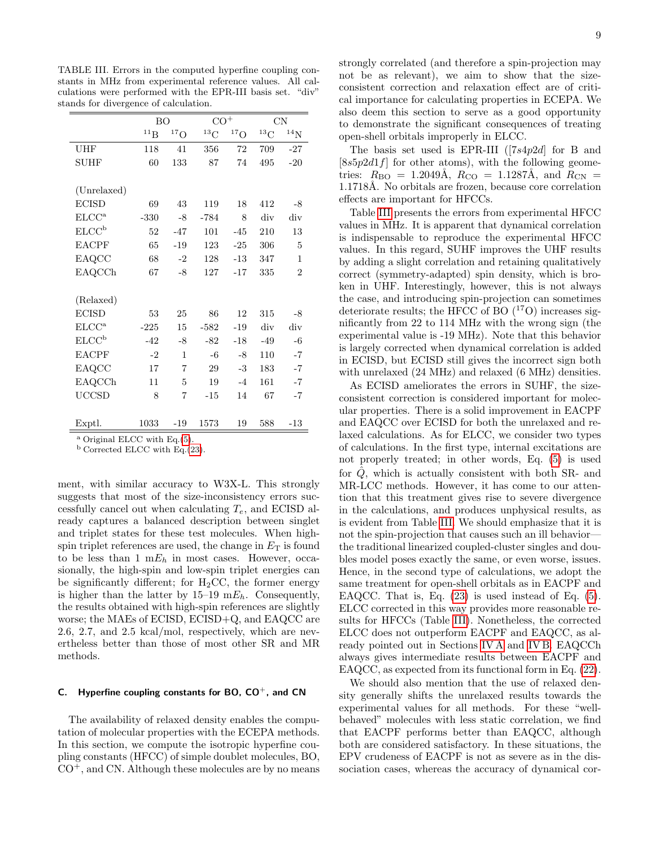<span id="page-8-1"></span>TABLE III. Errors in the computed hyperfine coupling constants in MHz from experimental reference values. All calculations were performed with the EPR-III basis set. "div" stands for divergence of calculation.

|                                               | <b>BO</b> |                  | $CO+$      |                  | CN          |                |
|-----------------------------------------------|-----------|------------------|------------|------------------|-------------|----------------|
|                                               | $^{11}B$  | ${}^{17}{\rm O}$ | ${}^{13}C$ | ${}^{17}{\rm O}$ | ${}^{13}$ C | $^{14}{\rm N}$ |
| UHF                                           | 118       | 41               | 356        | 72               | 709         | $-27$          |
| <b>SUHF</b>                                   | 60        | 133              | 87         | 74               | 495         | $-20$          |
|                                               |           |                  |            |                  |             |                |
| (Unrelaxed)                                   |           |                  |            |                  |             |                |
| <b>ECISD</b>                                  | 69        | 43               | 119        | 18               | 412         | $-8$           |
| ELCC <sup>a</sup>                             | $-330$    | $-8$             | $-784$     | 8                | div         | div            |
| ECCC <sup>b</sup>                             | 52        | $-47$            | 101        | $-45$            | 210         | 13             |
| <b>EACPF</b>                                  | 65        | $-19$            | 123        | $-25$            | 306         | 5              |
| EAQCC                                         | 68        | $-2$             | 128        | $-13$            | 347         | $\mathbf{1}$   |
| EAQCCh                                        | 67        | $-8$             | 127        | $-17$            | 335         | $\overline{2}$ |
|                                               |           |                  |            |                  |             |                |
| (Relaxed)                                     |           |                  |            |                  |             |                |
| <b>ECISD</b>                                  | 53        | 25               | 86         | 12               | 315         | $-8$           |
| $\text{ELCC}^{\text{a}}$                      | $-225$    | 15               | $-582$     | $-19$            | div         | div            |
| ECCC <sup>b</sup>                             | $-42$     | -8               | -82        | $-18$            | $-49$       | $-6$           |
| <b>EACPF</b>                                  | $-2$      | 1                | $-6$       | -8               | 110         | $-7$           |
| EAQCC                                         | 17        | $\overline{7}$   | 29         | $-3$             | 183         | $-7$           |
| EAQCCh                                        | 11        | 5                | 19         | $-4$             | 161         | $-7$           |
| <b>UCCSD</b>                                  | 8         | $\overline{7}$   | $-15$      | 14               | 67          | $-7$           |
|                                               |           |                  |            |                  |             |                |
| Exptl.                                        | 1033      | $-19$            | 1573       | 19               | 588         | $-13$          |
| $\Omega$ Ontained EI CC mith $E_{\alpha}$ (E) |           |                  |            |                  |             |                |

Original ELCC with Eq.[\(5\)](#page-2-7).

<sup>b</sup> Corrected ELCC with Eq.[\(23\)](#page-4-1).

ment, with similar accuracy to W3X-L. This strongly suggests that most of the size-inconsistency errors successfully cancel out when calculating  $T_e$ , and ECISD already captures a balanced description between singlet and triplet states for these test molecules. When highspin triplet references are used, the change in  $E_T$  is found to be less than 1  $mE_h$  in most cases. However, occasionally, the high-spin and low-spin triplet energies can be significantly different; for  $H_2CC$ , the former energy is higher than the latter by  $15-19$  m $E_h$ . Consequently, the results obtained with high-spin references are slightly worse; the MAEs of ECISD, ECISD+Q, and EAQCC are 2.6, 2.7, and 2.5 kcal/mol, respectively, which are nevertheless better than those of most other SR and MR methods.

# <span id="page-8-0"></span>C. Hyperfine coupling constants for BO,  $CO<sup>+</sup>$ , and CN

The availability of relaxed density enables the computation of molecular properties with the ECEPA methods. In this section, we compute the isotropic hyperfine coupling constants (HFCC) of simple doublet molecules, BO,  $CO<sup>+</sup>$ , and CN. Although these molecules are by no means strongly correlated (and therefore a spin-projection may not be as relevant), we aim to show that the sizeconsistent correction and relaxation effect are of critical importance for calculating properties in ECEPA. We also deem this section to serve as a good opportunity to demonstrate the significant consequences of treating open-shell orbitals improperly in ELCC.

The basis set used is EPR-III  $([7s4p2d]$  for B and  $[8s5p2d1f]$  for other atoms), with the following geometries:  $R_{\text{BO}} = 1.2049\text{\AA}, R_{\text{CO}} = 1.1287\text{\AA}, \text{ and } R_{\text{CN}} =$ 1.1718Å. No orbitals are frozen, because core correlation effects are important for HFCCs.

Table [III](#page-8-1) presents the errors from experimental HFCC values in MHz. It is apparent that dynamical correlation is indispensable to reproduce the experimental HFCC values. In this regard, SUHF improves the UHF results by adding a slight correlation and retaining qualitatively correct (symmetry-adapted) spin density, which is broken in UHF. Interestingly, however, this is not always the case, and introducing spin-projection can sometimes deteriorate results; the HFCC of BO  $(17O)$  increases significantly from 22 to 114 MHz with the wrong sign (the experimental value is -19 MHz). Note that this behavior is largely corrected when dynamical correlation is added in ECISD, but ECISD still gives the incorrect sign both with unrelaxed (24 MHz) and relaxed (6 MHz) densities.

As ECISD ameliorates the errors in SUHF, the sizeconsistent correction is considered important for molecular properties. There is a solid improvement in EACPF and EAQCC over ECISD for both the unrelaxed and relaxed calculations. As for ELCC, we consider two types of calculations. In the first type, internal excitations are not properly treated; in other words, Eq. [\(5\)](#page-2-7) is used for  $\ddot{Q}$ , which is actually consistent with both SR- and MR-LCC methods. However, it has come to our attention that this treatment gives rise to severe divergence in the calculations, and produces unphysical results, as is evident from Table [III.](#page-8-1) We should emphasize that it is not the spin-projection that causes such an ill behavior the traditional linearized coupled-cluster singles and doubles model poses exactly the same, or even worse, issues. Hence, in the second type of calculations, we adopt the same treatment for open-shell orbitals as in EACPF and EAQCC. That is, Eq. [\(23\)](#page-4-1) is used instead of Eq. [\(5\)](#page-2-7). ELCC corrected in this way provides more reasonable results for HFCCs (Table [III\)](#page-8-1). Nonetheless, the corrected ELCC does not outperform EACPF and EAQCC, as already pointed out in Sections [IV A](#page-5-1) and [IV B.](#page-6-0) EAQCCh always gives intermediate results between EACPF and EAQCC, as expected from its functional form in Eq. [\(22\)](#page-3-4).

We should also mention that the use of relaxed density generally shifts the unrelaxed results towards the experimental values for all methods. For these "wellbehaved" molecules with less static correlation, we find that EACPF performs better than EAQCC, although both are considered satisfactory. In these situations, the EPV crudeness of EACPF is not as severe as in the dissociation cases, whereas the accuracy of dynamical cor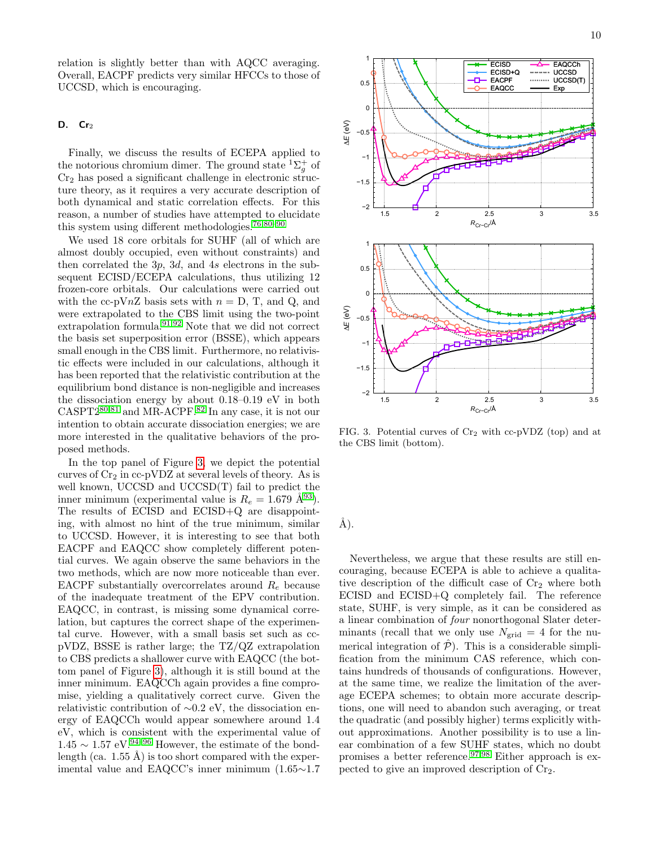relation is slightly better than with AQCC averaging. Overall, EACPF predicts very similar HFCCs to those of UCCSD, which is encouraging.

# <span id="page-9-0"></span>D.  $Cr<sub>2</sub>$

Finally, we discuss the results of ECEPA applied to the notorious chromium dimer. The ground state  ${}^{1}\Sigma_{g}^{+}$  of  $Cr<sub>2</sub>$  has posed a significant challenge in electronic structure theory, as it requires a very accurate description of both dynamical and static correlation effects. For this reason, a number of studies have attempted to elucidate this system using different methodologies.[76,](#page-13-23)[80–](#page-13-27)[90](#page-13-28)

We used 18 core orbitals for SUHF (all of which are almost doubly occupied, even without constraints) and then correlated the 3p, 3d, and 4s electrons in the subsequent ECISD/ECEPA calculations, thus utilizing 12 frozen-core orbitals. Our calculations were carried out with the cc-pVnZ basis sets with  $n = D$ , T, and Q, and were extrapolated to the CBS limit using the two-point extrapolation formula. $91,92$  $91,92$  Note that we did not correct the basis set superposition error (BSSE), which appears small enough in the CBS limit. Furthermore, no relativistic effects were included in our calculations, although it has been reported that the relativistic contribution at the equilibrium bond distance is non-negligible and increases the dissociation energy by about 0.18–0.19 eV in both  $CASPT2^{80,81}$  $CASPT2^{80,81}$  $CASPT2^{80,81}$  $CASPT2^{80,81}$  and MR-ACPF.<sup>[82](#page-13-32)</sup> In any case, it is not our intention to obtain accurate dissociation energies; we are more interested in the qualitative behaviors of the proposed methods.

In the top panel of Figure [3,](#page-9-1) we depict the potential curves of  $Cr_2$  in cc-pVDZ at several levels of theory. As is well known, UCCSD and UCCSD(T) fail to predict the inner minimum (experimental value is  $R_e = 1.679 \text{ Å}^{93}$  $R_e = 1.679 \text{ Å}^{93}$  $R_e = 1.679 \text{ Å}^{93}$ ). The results of ECISD and ECISD+Q are disappointing, with almost no hint of the true minimum, similar to UCCSD. However, it is interesting to see that both EACPF and EAQCC show completely different potential curves. We again observe the same behaviors in the two methods, which are now more noticeable than ever. EACPF substantially overcorrelates around  $R_e$  because of the inadequate treatment of the EPV contribution. EAQCC, in contrast, is missing some dynamical correlation, but captures the correct shape of the experimental curve. However, with a small basis set such as ccpVDZ, BSSE is rather large; the TZ/QZ extrapolation to CBS predicts a shallower curve with EAQCC (the bottom panel of Figure [3\)](#page-9-1), although it is still bound at the inner minimum. EAQCCh again provides a fine compromise, yielding a qualitatively correct curve. Given the relativistic contribution of ∼0.2 eV, the dissociation energy of EAQCCh would appear somewhere around 1.4 eV, which is consistent with the experimental value of  $1.45 \sim 1.57 \text{ eV}$ .<sup>[94–](#page-13-34)[96](#page-13-35)</sup> However, the estimate of the bondlength (ca. 1.55 Å) is too short compared with the experimental value and EAQCC's inner minimum (1.65∼1.7



<span id="page-9-1"></span>FIG. 3. Potential curves of  $Cr_2$  with cc-pVDZ (top) and at the CBS limit (bottom).

 $\AA$ ).

Nevertheless, we argue that these results are still encouraging, because ECEPA is able to achieve a qualitative description of the difficult case of  $Cr<sub>2</sub>$  where both ECISD and ECISD+Q completely fail. The reference state, SUHF, is very simple, as it can be considered as a linear combination of four nonorthogonal Slater determinants (recall that we only use  $N_{\text{grid}} = 4$  for the numerical integration of  $\hat{\mathcal{P}}$ ). This is a considerable simplification from the minimum CAS reference, which contains hundreds of thousands of configurations. However, at the same time, we realize the limitation of the average ECEPA schemes; to obtain more accurate descriptions, one will need to abandon such averaging, or treat the quadratic (and possibly higher) terms explicitly without approximations. Another possibility is to use a linear combination of a few SUHF states, which no doubt promises a better reference.[97](#page-13-36)[,98](#page-13-37) Either approach is expected to give an improved description of Cr2.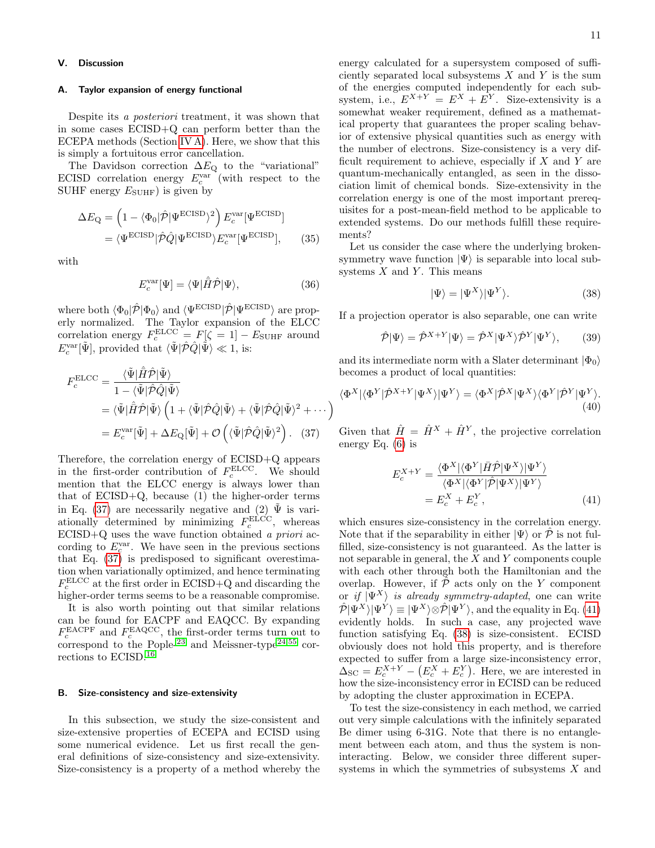# <span id="page-10-0"></span>V. Discussion

# <span id="page-10-2"></span>A. Taylor expansion of energy functional

Despite its a posteriori treatment, it was shown that in some cases ECISD+Q can perform better than the ECEPA methods (Section [IV A\)](#page-5-1). Here, we show that this is simply a fortuitous error cancellation.

The Davidson correction  $\Delta E_{\rm Q}$  to the "variational" ECISD correlation energy  $E_c^{\text{var}}$  (with respect to the SUHF energy  $E_{\text{SUHF}}$ ) is given by

$$
\Delta E_{\mathbf{Q}} = \left(1 - \langle \Phi_0 | \hat{\mathcal{P}} | \Psi^{\text{ECISD}} \rangle^2 \right) E_c^{\text{var}} [\Psi^{\text{ECISD}}] \n= \langle \Psi^{\text{ECISD}} | \hat{\mathcal{P}} \hat{\mathcal{Q}} | \Psi^{\text{ECISD}} \rangle E_c^{\text{var}} [\Psi^{\text{ECISD}}],
$$
\n(35)

with

$$
E_c^{\text{var}}[\Psi] = \langle \Psi | \hat{H} \hat{\mathcal{P}} | \Psi \rangle, \tag{36}
$$

where both  $\langle \Phi_0 | \hat{\mathcal{P}} | \Phi_0 \rangle$  and  $\langle \Psi^{\rm ECISD} | \hat{\mathcal{P}} | \Psi^{\rm ECISD} \rangle$  are properly normalized. The Taylor expansion of the ELCC correlation energy  $F_c^{\text{ELCC}} = F[\zeta = 1] - E_{\text{SUHF}}$  around  $E_c^{\text{var}}[\tilde{\Psi}],$  provided that  $\langle \tilde{\Psi} | \hat{\mathcal{P}} \hat{Q} | \tilde{\Psi} \rangle \ll 1$ , is:

$$
F_c^{\text{ELCC}} = \frac{\langle \tilde{\Psi} | \hat{H} \hat{\mathcal{P}} | \tilde{\Psi} \rangle}{1 - \langle \tilde{\Psi} | \hat{\mathcal{P}} \hat{Q} | \tilde{\Psi} \rangle}
$$
  
=  $\langle \tilde{\Psi} | \hat{H} \hat{\mathcal{P}} | \tilde{\Psi} \rangle \left( 1 + \langle \tilde{\Psi} | \hat{\mathcal{P}} \hat{Q} | \tilde{\Psi} \rangle + \langle \tilde{\Psi} | \hat{\mathcal{P}} \hat{Q} | \tilde{\Psi} \rangle^2 + \cdots \right)$   
=  $E_c^{\text{var}}[\tilde{\Psi}] + \Delta E_{\text{Q}}[\tilde{\Psi}] + \mathcal{O} \left( \langle \tilde{\Psi} | \hat{\mathcal{P}} \hat{Q} | \tilde{\Psi} \rangle^2 \right).$  (37)

Therefore, the correlation energy of ECISD+Q appears in the first-order contribution of  $F_c^{\text{ELCC}}$ . We should mention that the ELCC energy is always lower than that of  $ECISD+Q$ , because  $(1)$  the higher-order terms in Eq. [\(37\)](#page-10-3) are necessarily negative and (2)  $\tilde{\Psi}$  is variationally determined by minimizing  $F_c^{\text{ELCC}}$ , whereas  $\text{ECISD}+\text{Q}$  uses the wave function obtained a priori according to  $E_c^{\text{var}}$ . We have seen in the previous sections that Eq.  $(37)$  is predisposed to significant overestimation when variationally optimized, and hence terminating  $F_c^{\text{ELCC}}$  at the first order in ECISD+Q and discarding the higher-order terms seems to be a reasonable compromise.

It is also worth pointing out that similar relations can be found for EACPF and EAQCC. By expanding  $F_c^{\text{EACPF}}$  and  $F_c^{\text{EAQCC}}$ , the first-order terms turn out to  $\frac{c}{c}$  correspond to the Pople-<sup>[23](#page-12-18)</sup> and Meissner-type<sup>[24](#page-12-19)[,55](#page-13-2)</sup> corrections to ECISD.[16](#page-12-11)

# <span id="page-10-1"></span>B. Size-consistency and size-extensivity

In this subsection, we study the size-consistent and size-extensive properties of ECEPA and ECISD using some numerical evidence. Let us first recall the general definitions of size-consistency and size-extensivity. Size-consistency is a property of a method whereby the energy calculated for a supersystem composed of sufficiently separated local subsystems  $X$  and  $Y$  is the sum of the energies computed independently for each subsystem, i.e.,  $E^{X+Y} = E^{X} + E^{Y}$ . Size-extensivity is a somewhat weaker requirement, defined as a mathematical property that guarantees the proper scaling behavior of extensive physical quantities such as energy with the number of electrons. Size-consistency is a very difficult requirement to achieve, especially if  $X$  and  $Y$  are quantum-mechanically entangled, as seen in the dissociation limit of chemical bonds. Size-extensivity in the correlation energy is one of the most important prerequisites for a post-mean-field method to be applicable to extended systems. Do our methods fulfill these requirements?

Let us consider the case where the underlying brokensymmetry wave function  $|\Psi\rangle$  is separable into local subsystems  $X$  and  $Y$ . This means

<span id="page-10-5"></span>
$$
|\Psi\rangle = |\Psi^X\rangle|\Psi^Y\rangle. \tag{38}
$$

If a projection operator is also separable, one can write

$$
\hat{\mathcal{P}}|\Psi\rangle = \hat{\mathcal{P}}^{X+Y}|\Psi\rangle = \hat{\mathcal{P}}^{X}|\Psi^{X}\rangle \hat{\mathcal{P}}^{Y}|\Psi^{Y}\rangle, \qquad (39)
$$

and its intermediate norm with a Slater determinant  $|\Phi_0\rangle$ becomes a product of local quantities:

$$
\langle \Phi^X | \langle \Phi^Y | \hat{\mathcal{P}}^{X+Y} | \Psi^X \rangle | \Psi^Y \rangle = \langle \Phi^X | \hat{\mathcal{P}}^X | \Psi^X \rangle \langle \Phi^Y | \hat{\mathcal{P}}^Y | \Psi^Y \rangle. \tag{40}
$$

<span id="page-10-3"></span>Given that  $\hat{H} = \hat{H}^X + \hat{H}^Y$ , the projective correlation energy Eq. [\(6\)](#page-2-8) is

<span id="page-10-4"></span>
$$
E_c^{X+Y} = \frac{\langle \Phi^X | \langle \Phi^Y | \bar{H} \hat{\mathcal{P}} | \Psi^X \rangle | \Psi^Y \rangle}{\langle \Phi^X | \langle \Phi^Y | \hat{\mathcal{P}} | \Psi^X \rangle | \Psi^Y \rangle}
$$
  
=  $E_c^X + E_c^Y$ , (41)

which ensures size-consistency in the correlation energy. Note that if the separability in either  $|\Psi\rangle$  or  $\hat{\mathcal{P}}$  is not fulfilled, size-consistency is not guaranteed. As the latter is not separable in general, the  $X$  and  $Y$  components couple with each other through both the Hamiltonian and the overlap. However, if  $\hat{\mathcal{P}}$  acts only on the Y component or if  $|\Psi^X\rangle$  is already symmetry-adapted, one can write  $\hat{\mathcal{P}}|\Psi^X\rangle|\Psi^Y\rangle \equiv |\Psi^X\rangle\otimes \hat{\mathcal{P}}|\Psi^Y\rangle$ , and the equality in Eq. [\(41\)](#page-10-4) evidently holds. In such a case, any projected wave function satisfying Eq. [\(38\)](#page-10-5) is size-consistent. ECISD obviously does not hold this property, and is therefore expected to suffer from a large size-inconsistency error,  $\Delta_{\rm SC} = E_c^{X+Y} - (E_c^X + E_c^Y)$ . Here, we are interested in how the size-inconsistency error in ECISD can be reduced by adopting the cluster approximation in ECEPA.

To test the size-consistency in each method, we carried out very simple calculations with the infinitely separated Be dimer using 6-31G. Note that there is no entanglement between each atom, and thus the system is noninteracting. Below, we consider three different supersystems in which the symmetries of subsystems X and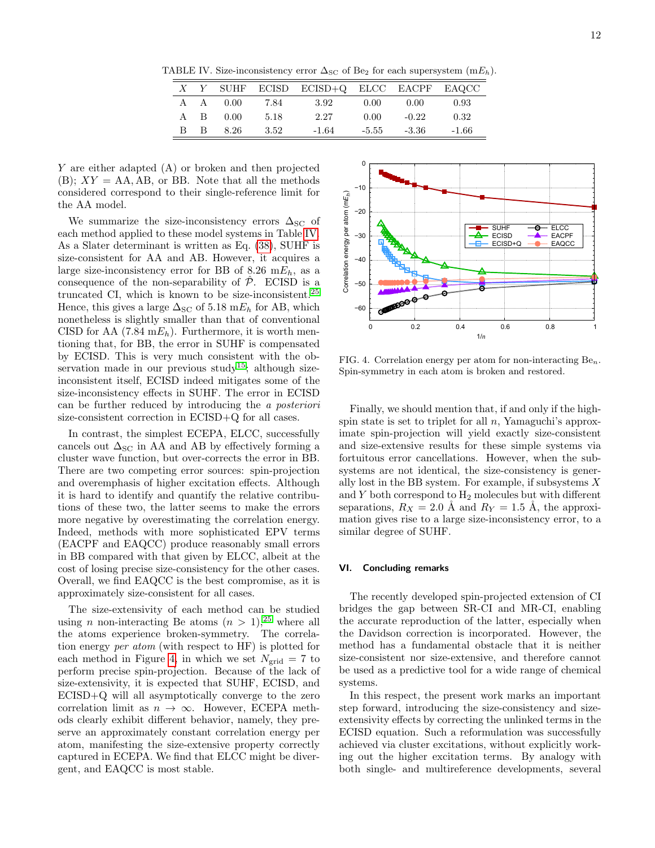TABLE IV. Size-inconsistency error  $\Delta_{\rm SC}$  of Be<sub>2</sub> for each supersystem (m $E_h$ ).

<span id="page-11-1"></span>

|    |                |                        |        | $X$ Y SUHF ECISD ECISD+Q ELCC EACPF EAQCC |        |         |       |
|----|----------------|------------------------|--------|-------------------------------------------|--------|---------|-------|
|    |                | $A \quad A \quad 0.00$ | 7.84   | 3.92                                      | - 0.00 | 0.00    | 0.93  |
|    |                | $A \quad B \quad 0.00$ | -5.18  | 2.27                                      | 0.00   | $-0.22$ | 0.32  |
| B. | $\overline{B}$ | 8.26                   | - 3.52 | -1.64                                     | -5.55  | -3.36   | -1.66 |

Y are either adapted (A) or broken and then projected  $(B)$ ;  $XY = AA$ ,  $AB$ , or BB. Note that all the methods considered correspond to their single-reference limit for the AA model.

We summarize the size-inconsistency errors  $\Delta_{\rm SC}$  of each method applied to these model systems in Table [IV.](#page-11-1) As a Slater determinant is written as Eq. [\(38\)](#page-10-5), SUHF is size-consistent for AA and AB. However, it acquires a large size-inconsistency error for BB of 8.26 m $E_h$ , as a consequence of the non-separability of  $\hat{\mathcal{P}}$ . ECISD is a truncated CI, which is known to be size-inconsistent.[25](#page-12-20) Hence, this gives a large  $\Delta_{\rm SC}$  of 5.18 m $E_h$  for AB, which nonetheless is slightly smaller than that of conventional CISD for AA  $(7.84 \text{ m}E_h)$ . Furthermore, it is worth mentioning that, for BB, the error in SUHF is compensated by ECISD. This is very much consistent with the ob-servation made in our previous study<sup>[15](#page-12-14)</sup>; although sizeinconsistent itself, ECISD indeed mitigates some of the size-inconsistency effects in SUHF. The error in ECISD can be further reduced by introducing the a posteriori size-consistent correction in ECISD+Q for all cases.

In contrast, the simplest ECEPA, ELCC, successfully cancels out  $\Delta_{\rm SC}$  in AA and AB by effectively forming a cluster wave function, but over-corrects the error in BB. There are two competing error sources: spin-projection and overemphasis of higher excitation effects. Although it is hard to identify and quantify the relative contributions of these two, the latter seems to make the errors more negative by overestimating the correlation energy. Indeed, methods with more sophisticated EPV terms (EACPF and EAQCC) produce reasonably small errors in BB compared with that given by ELCC, albeit at the cost of losing precise size-consistency for the other cases. Overall, we find EAQCC is the best compromise, as it is approximately size-consistent for all cases.

The size-extensivity of each method can be studied using *n* non-interacting Be atoms  $(n > 1)$ ,<sup>[25](#page-12-20)</sup> where all the atoms experience broken-symmetry. The correlation energy per atom (with respect to HF) is plotted for each method in Figure [4,](#page-11-2) in which we set  $N_{\text{grid}} = 7$  to perform precise spin-projection. Because of the lack of size-extensivity, it is expected that SUHF, ECISD, and ECISD+Q will all asymptotically converge to the zero correlation limit as  $n \to \infty$ . However, ECEPA methods clearly exhibit different behavior, namely, they preserve an approximately constant correlation energy per atom, manifesting the size-extensive property correctly captured in ECEPA. We find that ELCC might be divergent, and EAQCC is most stable.



<span id="page-11-2"></span>FIG. 4. Correlation energy per atom for non-interacting  $Be_n$ . Spin-symmetry in each atom is broken and restored.

Finally, we should mention that, if and only if the highspin state is set to triplet for all  $n$ , Yamaguchi's approximate spin-projection will yield exactly size-consistent and size-extensive results for these simple systems via fortuitous error cancellations. However, when the subsystems are not identical, the size-consistency is generally lost in the BB system. For example, if subsystems X and  $Y$  both correspond to  $H_2$  molecules but with different separations,  $R_X = 2.0 \text{ Å}$  and  $R_Y = 1.5 \text{ Å}$ , the approximation gives rise to a large size-inconsistency error, to a similar degree of SUHF.

# <span id="page-11-0"></span>VI. Concluding remarks

The recently developed spin-projected extension of CI bridges the gap between SR-CI and MR-CI, enabling the accurate reproduction of the latter, especially when the Davidson correction is incorporated. However, the method has a fundamental obstacle that it is neither size-consistent nor size-extensive, and therefore cannot be used as a predictive tool for a wide range of chemical systems.

In this respect, the present work marks an important step forward, introducing the size-consistency and sizeextensivity effects by correcting the unlinked terms in the ECISD equation. Such a reformulation was successfully achieved via cluster excitations, without explicitly working out the higher excitation terms. By analogy with both single- and multireference developments, several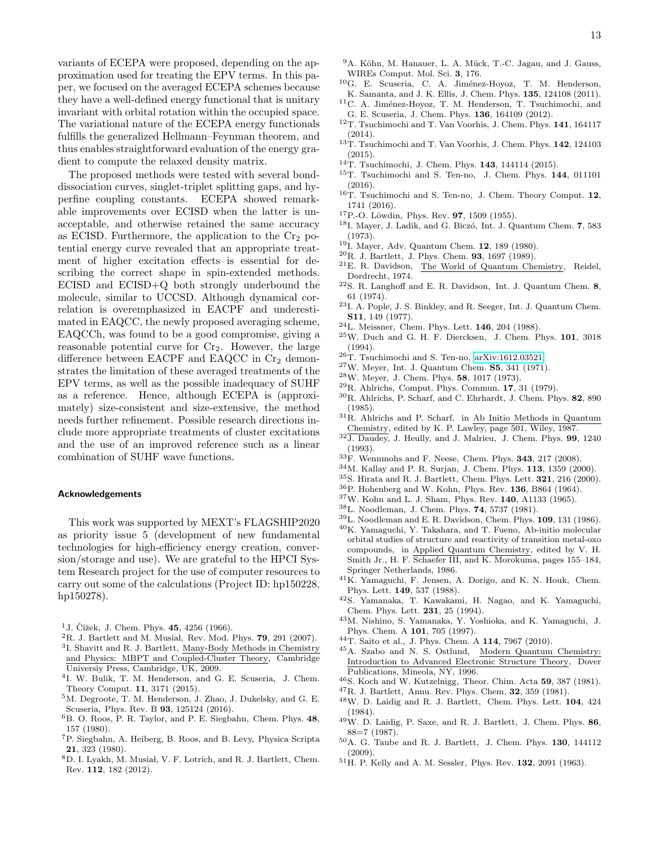variants of ECEPA were proposed, depending on the approximation used for treating the EPV terms. In this paper, we focused on the averaged ECEPA schemes because they have a well-defined energy functional that is unitary invariant with orbital rotation within the occupied space. The variational nature of the ECEPA energy functionals fulfills the generalized Hellmann–Feynman theorem, and thus enables straightforward evaluation of the energy gradient to compute the relaxed density matrix.

The proposed methods were tested with several bonddissociation curves, singlet-triplet splitting gaps, and hyperfine coupling constants. ECEPA showed remarkable improvements over ECISD when the latter is unacceptable, and otherwise retained the same accuracy as ECISD. Furthermore, the application to the  $Cr<sub>2</sub>$  potential energy curve revealed that an appropriate treatment of higher excitation effects is essential for describing the correct shape in spin-extended methods. ECISD and ECISD+Q both strongly underbound the molecule, similar to UCCSD. Although dynamical correlation is overemphasized in EACPF and underestimated in EAQCC, the newly proposed averaging scheme, EAQCCh, was found to be a good compromise, giving a reasonable potential curve for  $Cr_2$ . However, the large difference between EACPF and EAQCC in  $Cr<sub>2</sub>$  demonstrates the limitation of these averaged treatments of the EPV terms, as well as the possible inadequacy of SUHF as a reference. Hence, although ECEPA is (approximately) size-consistent and size-extensive, the method needs further refinement. Possible research directions include more appropriate treatments of cluster excitations and the use of an improved reference such as a linear combination of SUHF wave functions.

#### Acknowledgements

This work was supported by MEXT's FLAGSHIP2020 as priority issue 5 (development of new fundamental technologies for high-efficiency energy creation, conversion/storage and use). We are grateful to the HPCI System Research project for the use of computer resources to carry out some of the calculations (Project ID: hp150228, hp150278).

- <span id="page-12-0"></span><sup>1</sup>J. Čížek, J. Chem. Phys. **45**, 4256 (1966).
- ${}^{2}$ R. J. Bartlett and M. Musiał, Rev. Mod. Phys. 79, 291 (2007).
- <span id="page-12-1"></span>3 I. Shavitt and R. J. Bartlett, Many-Body Methods in Chemistry and Physics: MBPT and Coupled-Cluster Theory, Cambridge Universiy Press, Cambridge, UK, 2009.
- <span id="page-12-2"></span>4 I. W. Bulik, T. M. Henderson, and G. E. Scuseria, J. Chem. Theory Comput. 11, 3171 (2015).
- <span id="page-12-3"></span><sup>5</sup>M. Degroote, T. M. Henderson, J. Zhao, J. Dukelsky, and G. E. Scuseria, Phys. Rev. B 93, 125124 (2016).
- <span id="page-12-4"></span><sup>6</sup>B. O. Roos, P. R. Taylor, and P. E. Siegbahn, Chem. Phys. 48, 157 (1980).
- <span id="page-12-5"></span><sup>7</sup>P. Siegbahn, A. Heiberg, B. Roos, and B. Levy, Physica Scripta 21, 323 (1980).
- <span id="page-12-6"></span><sup>8</sup>D. I. Lyakh, M. Musiał, V. F. Lotrich, and R. J. Bartlett, Chem. Rev. 112, 182 (2012).
- <span id="page-12-7"></span><sup>9</sup>A. Köhn, M. Hanauer, L. A. Mück, T.-C. Jagau, and J. Gauss, WIREs Comput. Mol. Sci. 3, 176.
- <span id="page-12-8"></span> ${}^{10}$ G. E. Scuseria, C. A. Jiménez-Hoyoz, T. M. Henderson, K. Samanta, and J. K. Ellis, J. Chem. Phys. 135, 124108 (2011).
- <span id="page-12-9"></span> $^{11}$  C. A. Jiménez-Hoyoz, T. M. Henderson, T. Tsuchimochi, and G. E. Scuseria, J. Chem. Phys. 136, 164109 (2012).
- <span id="page-12-10"></span><sup>12</sup>T. Tsuchimochi and T. Van Voorhis, J. Chem. Phys. 141, 164117 (2014).
- <sup>13</sup>T. Tsuchimochi and T. Van Voorhis, J. Chem. Phys. 142, 124103 (2015).
- <sup>14</sup>T. Tsuchimochi, J. Chem. Phys. 143, 144114 (2015).
- <span id="page-12-14"></span><sup>15</sup>T. Tsuchimochi and S. Ten-no, J. Chem. Phys. 144, 011101 (2016).
- <span id="page-12-11"></span><sup>16</sup>T. Tsuchimochi and S. Ten-no, J. Chem. Theory Comput. 12, 1741 (2016).
- <span id="page-12-12"></span><sup>17</sup>P.-O. Löwdin, Phys. Rev. **97**, 1509 (1955).
- <sup>18</sup>I. Mayer, J. Ladik, and G. Biczó, Int. J. Quantum Chem. 7, 583 (1973).
- <span id="page-12-13"></span><sup>19</sup>I. Mayer, Adv. Quantum Chem. 12, 189 (1980).
- <span id="page-12-15"></span><sup>20</sup>R. J. Bartlett, J. Phys. Chem. 93, 1697 (1989).
- <span id="page-12-16"></span><sup>21</sup>E. R. Davidson, The World of Quantum Chemistry, Reidel, Dordrecht, 1974.
- <span id="page-12-17"></span> $22$ S. R. Langhoff and E. R. Davidson, Int. J. Quantum Chem. 8, 61 (1974).
- <span id="page-12-18"></span> $^{23}\mathrm{I}$  . A. Pople, J. S. Binkley, and R. Seeger, Int. J. Quantum Chem. S11, 149 (1977).
- <span id="page-12-19"></span> $^{24}{\rm L}$  Meissner, Chem. Phys. Lett. 146, 204 (1988).
- <span id="page-12-20"></span> $25$ W. Duch and G. H. F. Diercksen, J. Chem. Phys.  $101$ ,  $3018$ (1994).
- <span id="page-12-21"></span> $26$ T. Tsuchimochi and S. Ten-no, [arXiv:1612.03521.](http://arxiv.org/abs/1612.03521)
- <span id="page-12-22"></span> $27$ W. Meyer, Int. J. Quantum Chem. **S5**, 341 (1971).
- <span id="page-12-42"></span><sup>28</sup>W. Meyer, J. Chem. Phys. 58, 1017 (1973).
- <span id="page-12-38"></span> $29R$ . Ahlrichs, Comput. Phys. Commun. 17, 31 (1979).
- <span id="page-12-24"></span> ${}^{30}\mathrm{R}.$  Ahlrichs, P. Scharf, and C. Ehrhardt, J. Chem. Phys.  $\bf 82, \, 890$ (1985).
- <span id="page-12-25"></span><sup>31</sup>R. Ahlrichs and P. Scharf, in Ab Initio Methods in Quantum Chemistry, edited by K. P. Lawley, page 501, Wiley, 1987.
- <span id="page-12-23"></span> $32\overline{\text{J. Daudey}},$  J. Heully, and J. Malrieu, J. Chem. Phys. 99, 1240 (1993).
- <span id="page-12-26"></span> $33\text{F}$ . Wennmohs and F. Neese, Chem. Phys. 343, 217 (2008).
- <span id="page-12-27"></span><sup>34</sup>M. Kallay and P. R. Surjan, J. Chem. Phys. 113, 1359 (2000).
- <span id="page-12-28"></span><sup>35</sup>S. Hirata and R. J. Bartlett, Chem. Phys. Lett. 321, 216 (2000).
- <span id="page-12-29"></span><sup>36</sup>P. Hohenberg and W. Kohn, Phys. Rev. 136, B864 (1964).
- <span id="page-12-30"></span><sup>37</sup>W. Kohn and L. J. Sham, Phys. Rev. 140, A1133 (1965).
- <span id="page-12-31"></span><sup>38</sup>L. Noodleman, J. Chem. Phys. 74, 5737 (1981).
- <span id="page-12-32"></span><sup>39</sup>L. Noodleman and E. R. Davidson, Chem. Phys. 109, 131 (1986).
- <span id="page-12-33"></span><sup>40</sup>K. Yamaguchi, Y. Takahara, and T. Fueno, Ab-initio molecular orbital studies of structure and reactivity of transition metal-oxo compounds, in Applied Quantum Chemistry, edited by V. H. Smith Jr., H. F. Schaefer III, and K. Morokuma, pages 155–184, Springer Netherlands, 1986.
- <span id="page-12-34"></span><sup>41</sup>K. Yamaguchi, F. Jensen, A. Dorigo, and K. N. Houk, Chem. Phys. Lett. 149, 537 (1988).
- <span id="page-12-35"></span><sup>42</sup>S. Yamanaka, T. Kawakami, H. Nagao, and K. Yamaguchi, Chem. Phys. Lett. 231, 25 (1994).
- <sup>43</sup>M. Nishino, S. Yamanaka, Y. Yoshioka, and K. Yamaguchi, J. Phys. Chem. A 101, 705 (1997).
- <span id="page-12-36"></span><sup>44</sup>T. Saito et al., J. Phys. Chem. A 114, 7967 (2010).
- <span id="page-12-37"></span><sup>45</sup>A. Szabo and N. S. Ostlund, Modern Quantum Chemistry: Introduction to Advanced Electronic Structure Theory, Dover Publications, Mineola, NY, 1996.
- <span id="page-12-39"></span> $^{46}$ S. Koch and W. Kutzelnigg, Theor. Chim. Acta 59, 387 (1981).
- <span id="page-12-40"></span><sup>47</sup>R. J. Bartlett, Annu. Rev. Phys. Chem. 32, 359 (1981).
- <sup>48</sup>W. D. Laidig and R. J. Bartlett, Chem. Phys. Lett. 104, 424 (1984).
- $49W.$  D. Laidig, P. Saxe, and R. J. Bartlett, J. Chem. Phys. 86, 88=7 (1987).
- <span id="page-12-41"></span><sup>50</sup>A. G. Taube and R. J. Bartlett, J. Chem. Phys. 130, 144112 (2009).
- <span id="page-12-43"></span><sup>51</sup>H. P. Kelly and A. M. Sessler, Phys. Rev. 132, 2091 (1963).